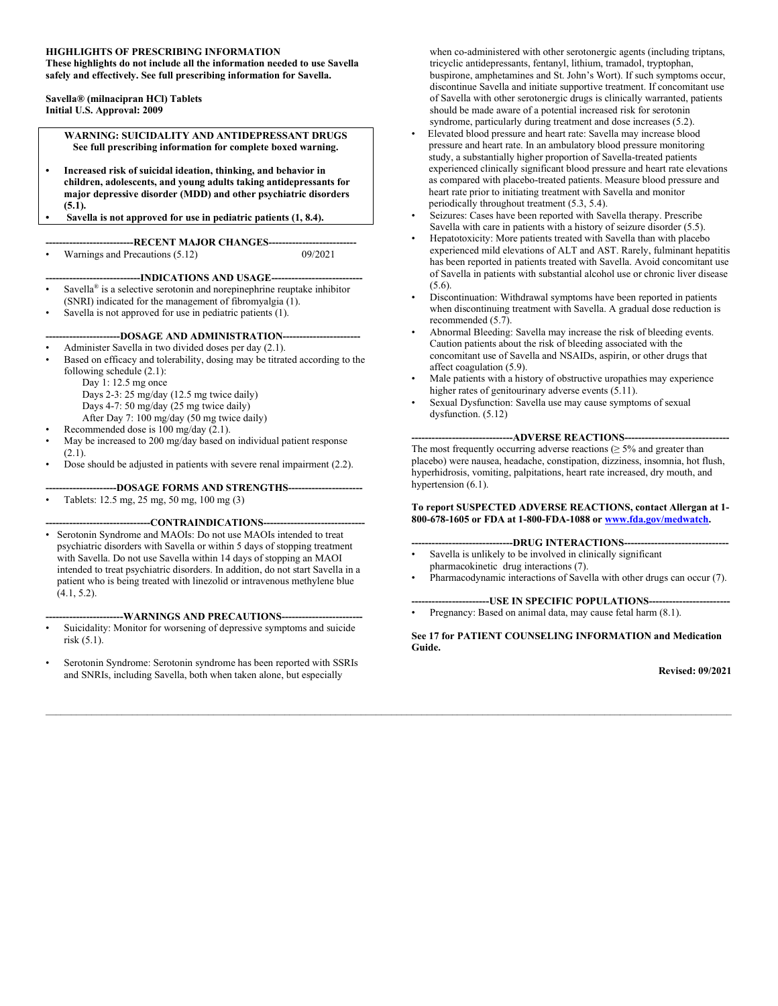#### **HIGHLIGHTS OF PRESCRIBING INFORMATION**

**These highlights do not include all the information needed to use Savella safely and effectively. See full prescribing information for Savella.** 

**Savella® (milnacipran HCl) Tablets Initial U.S. Approval: 2009**

> **WARNING: SUICIDALITY AND ANTIDEPRESSANT DRUGS See full prescribing information for complete boxed warning.**

- **• Increased risk of suicidal ideation, thinking, and behavior in children, adolescents, and young adults taking antidepressants for major depressive disorder (MDD) and other psychiatric disorders (5.1).**
- **• Savella is not approved for use in pediatric patients (1, 8.4).**

---RECENT MAJOR CHANGES-

• Warnings and Precautions (5.12) 09/2021

---INDICATIONS AND USAGE----

- Savella<sup>®</sup> is a selective serotonin and norepinephrine reuptake inhibitor (SNRI) indicated for the management of fibromyalgia (1). Savella is not approved for use in pediatric patients (1).
- 

#### --DOSAGE AND ADMINISTRATION--

• Administer Savella in two divided doses per day (2.1).

Based on efficacy and tolerability, dosing may be titrated according to the following schedule (2.1):

Day 1: 12.5 mg once Days 2-3: 25 mg/day (12.5 mg twice daily)

- Days 4-7: 50 mg/day (25 mg twice daily)
- After Day 7: 100 mg/day (50 mg twice daily)
- Recommended dose is 100 mg/day (2.1).
- 
- May be increased to 200 mg/day based on individual patient response  $(2.1)$ .
- Dose should be adjusted in patients with severe renal impairment (2.2).

**---------------------DOSAGE FORMS AND STRENGTHS----------------------**

• Tablets: 12.5 mg, 25 mg, 50 mg, 100 mg (3)

#### --CONTRAINDICATIONS--

• Serotonin Syndrome and MAOIs: Do not use MAOIs intended to treat psychiatric disorders with Savella or within 5 days of stopping treatment with Savella. Do not use Savella within 14 days of stopping an MAOI intended to treat psychiatric disorders. In addition, do not start Savella in a patient who is being treated with linezolid or intravenous methylene blue (4.1, 5.2).

#### **-----------------------WARNINGS AND PRECAUTIONS------------------------**

- Suicidality: Monitor for worsening of depressive symptoms and suicide risk (5.1).
- Serotonin Syndrome: Serotonin syndrome has been reported with SSRIs and SNRIs, including Savella, both when taken alone, but especially

when co-administered with other serotonergic agents (including triptans, tricyclic antidepressants, fentanyl, lithium, tramadol, tryptophan, buspirone, amphetamines and St. John's Wort). If such symptoms occur, discontinue Savella and initiate supportive treatment. If concomitant use of Savella with other serotonergic drugs is clinically warranted, patients should be made aware of a potential increased risk for serotonin syndrome, particularly during treatment and dose increases (5.2).

- Elevated blood pressure and heart rate: Savella may increase blood pressure and heart rate. In an ambulatory blood pressure monitoring study, a substantially higher proportion of Savella-treated patients experienced clinically significant blood pressure and heart rate elevations as compared with placebo-treated patients. Measure blood pressure and heart rate prior to initiating treatment with Savella and monitor periodically throughout treatment (5.3, 5.4).
- Seizures: Cases have been reported with Savella therapy. Prescribe Savella with care in patients with a history of seizure disorder (5.5).
- Hepatotoxicity: More patients treated with Savella than with placebo experienced mild elevations of ALT and AST. Rarely, fulminant hepatitis has been reported in patients treated with Savella. Avoid concomitant use of Savella in patients with substantial alcohol use or chronic liver disease (5.6).
- Discontinuation: Withdrawal symptoms have been reported in patients when discontinuing treatment with Savella. A gradual dose reduction is recommended (5.7).
- Abnormal Bleeding: Savella may increase the risk of bleeding events. Caution patients about the risk of bleeding associated with the concomitant use of Savella and NSAIDs, aspirin, or other drugs that affect coagulation (5.9).
- Male patients with a history of obstructive uropathies may experience higher rates of genitourinary adverse events (5.11).
- Sexual Dysfunction: Savella use may cause symptoms of sexual dysfunction. (5.12)

---ADVERSE REACTIONS------The most frequently occurring adverse reactions  $(≥ 5%$  and greater than placebo) were nausea, headache, constipation, dizziness, insomnia, hot flush, hyperhidrosis, vomiting, palpitations, heart rate increased, dry mouth, and hypertension (6.1).

#### **To report SUSPECTED ADVERSE REACTIONS, contact Allergan at 1- 800-678-1605 or FDA at 1-800-FDA-1088 o[r www.fda.gov/medwatch.](http://www.fda.gov/medwatch)**

- --DRUG INTERACTIONS---
- Savella is unlikely to be involved in clinically significant pharmacokinetic drug interactions (7).
- Pharmacodynamic interactions of Savella with other drugs can occur (7).

**-----------------------USE IN SPECIFIC POPULATIONS------------------------**

Pregnancy: Based on animal data, may cause fetal harm (8.1).

**See 17 for PATIENT COUNSELING INFORMATION and Medication Guide.**

#### **Revised: 09/2021**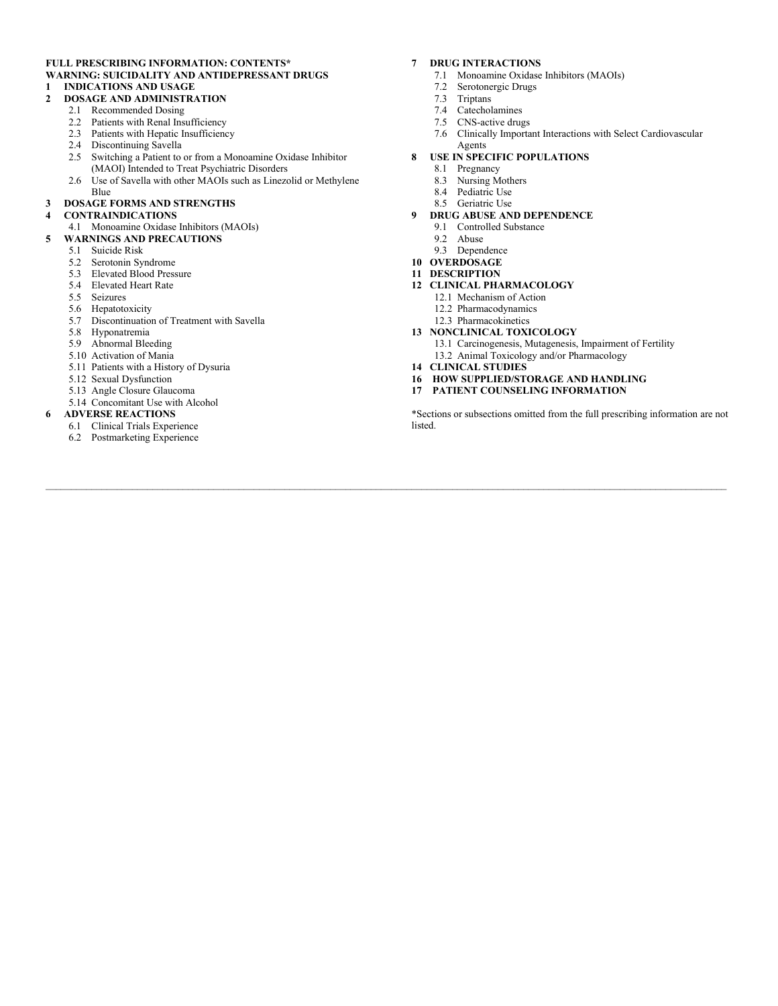#### **FULL PRESCRIBING INFORMATION: CONTENTS\* [WARNING: SUICIDALITY AND ANTIDEPRESSANT DRUGS](https://abbvie-my.sharepoint.com/personal/pritha_chakrabarti_abbvie_com/Documents/Desktop%201/Products/6.%20SSRI-SNRI%20SLC%20Changes%20Common%20Documents/Savella%20Labels%20for%20Submission/1.%202021Jun-Savella-USPI-Redline-SLC%20Changes.doc#_Toc75782583) 1 [INDICATIONS AND USAGE](#page-2-0)**

#### **2 [DOSAGE AND ADMINISTRATION](#page-2-1)**

- 2.1 [Recommended Dosing](#page-2-2)
- 2.2 [Patients with Renal Insufficiency](#page-3-0)
- 2.3 [Patients with Hepatic Insufficiency](#page-3-1)
- 2.4 [Discontinuing Savella](#page-3-2)
- 2.5 [Switching a Patient to or from a Monoamine Oxidase Inhibitor](#page-3-3)  [\(MAOI\) Intended to Treat Psychiatric Disorders](#page-3-3)
- [2.6 Use of Savella with other MAOIs such as Linezolid or Methylene](#page-3-4)  [Blue](#page-3-4)

#### **3 [DOSAGE FORMS AND STRENGTHS](#page-4-0)**

#### **4 [CONTRAINDICATIONS](#page-4-1)**

#### [4.1 Monoamine Oxidase Inhibitors \(MAOIs\)](#page-4-2)

- **5 [WARNINGS AND PRECAUTIONS](#page-4-3)**
	- 5.1 [Suicide Risk](#page-4-4)
	- 5.2 [Serotonin Syndrome](#page-6-0)
	- [5.3 Elevated Blood Pressure](#page-7-0)
	- [5.4 Elevated Heart Rate](#page-9-0)
	- [5.5 Seizures](#page-9-1)
	- [5.6 Hepatotoxicity](#page-9-2)<br>5.7 Discontinuation
	- Discontinuation of Treatment with Savella
	- [5.8 Hyponatremia](#page-10-1)
	- [5.9 Abnormal Bleeding](#page-11-0)
	- [5.10 Activation of Mania](#page-11-1)
	- [5.11 Patients with a History of Dysuria](#page-11-2)
	- [5.12 Sexual Dysfunction](#page-11-3)
	- 5.13 [Angle Closure Glaucoma](#page-12-0)
	- [5.14 Concomitant Use with Alcohol](#page-12-1)
- **6 [ADVERSE REACTIONS](#page-12-2)**
	- 6.1 [Clinical Trials Experience](#page-12-3)
	- [6.2 Postmarketing Experience](#page-15-0)

#### **7 [DRUG INTERACTIONS](#page-15-1)**

- 7.1 [Monoamine Oxidase Inhibitors \(MAOIs\)](#page-15-2)
- 7.2 [Serotonergic Drugs](#page-15-3)
- **Triptans**
- [7.4 Catecholamines](#page-16-0)
- 
- [7.5 CNS-active drugs](#page-16-1)<br>7.6 Clinically Importa [7.6 Clinically Important Interactions with Select Cardiovascular](#page-16-2)

#### [Agents](#page-16-2) **8 [USE IN SPECIFIC POPULATIONS](#page-16-3)**

- 
- 8.1 [Pregnancy](#page-16-4)<br>8.3 Nursing M
- 8.3 [Nursing Mothers](#page-17-0)<br>8.4 Pediatric Use [Pediatric Use](#page-17-1)
- 8.5 [Geriatric Use](#page-18-0)
- **9 [DRUG ABUSE AND DEPENDENCE](#page-18-1)**
	- 9.1 [Controlled Substance](#page-18-2)
	- 9.2 [Abuse](#page-18-3)
	- 9.3 [Dependence](#page-18-4)
- **10 [OVERDOSAGE](#page-18-5)**
- **11 [DESCRIPTION](#page-19-0)**
- **[12 CLINICAL PHARMACOLOGY](#page-20-0)**
	- 12.1 [Mechanism of Action](#page-20-1)
	- [12.2 Pharmacodynamics](#page-20-2)
	- [12.3 Pharmacokinetics](#page-20-3)
- **[13 NONCLINICAL TOXICOLOGY](#page-22-0)**
	- 13.1 [Carcinogenesis, Mutagenesis, Impairment of Fertility](#page-22-1)
	- 13.2 [Animal Toxicology and/or Pharmacology](#page-23-0)
- **[14 CLINICAL STUDIES](#page-23-1)**
- **[16 HOW SUPPLIED/STORAGE AND HANDLING](#page-25-0)**
- **[17 PATIENT COUNSELING INFORMATION](#page-26-0)**

\*Sections or subsections omitted from the full prescribing information are not listed.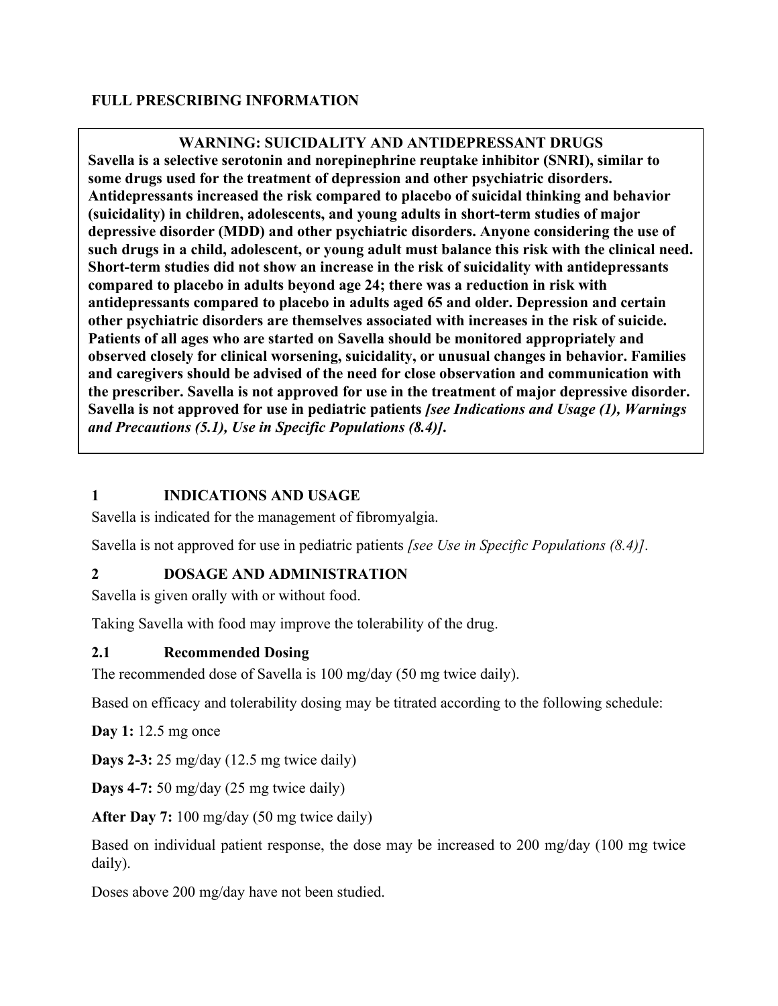#### **FULL PRESCRIBING INFORMATION**

**WARNING: SUICIDALITY AND ANTIDEPRESSANT DRUGS Savella is a selective serotonin and norepinephrine reuptake inhibitor (SNRI), similar to some drugs used for the treatment of depression and other psychiatric disorders. Antidepressants increased the risk compared to placebo of suicidal thinking and behavior (suicidality) in children, adolescents, and young adults in short-term studies of major depressive disorder (MDD) and other psychiatric disorders. Anyone considering the use of such drugs in a child, adolescent, or young adult must balance this risk with the clinical need. Short-term studies did not show an increase in the risk of suicidality with antidepressants compared to placebo in adults beyond age 24; there was a reduction in risk with antidepressants compared to placebo in adults aged 65 and older. Depression and certain other psychiatric disorders are themselves associated with increases in the risk of suicide. Patients of all ages who are started on Savella should be monitored appropriately and observed closely for clinical worsening, suicidality, or unusual changes in behavior. Families and caregivers should be advised of the need for close observation and communication with the prescriber. Savella is not approved for use in the treatment of major depressive disorder. Savella is not approved for use in pediatric patients** *[see Indications and Usage (1), Warnings and Precautions (5.1), Use in Specific Populations (8.4)]***.**

#### <span id="page-2-0"></span>**1 INDICATIONS AND USAGE**

Savella is indicated for the management of fibromyalgia.

Savella is not approved for use in pediatric patients *[see Use in Specific Populations (8.4)]*.

## <span id="page-2-1"></span>**2 DOSAGE AND ADMINISTRATION**

Savella is given orally with or without food.

Taking Savella with food may improve the tolerability of the drug.

#### <span id="page-2-2"></span>**2.1 Recommended Dosing**

The recommended dose of Savella is 100 mg/day (50 mg twice daily).

Based on efficacy and tolerability dosing may be titrated according to the following schedule:

**Day 1:** 12.5 mg once

**Days 2-3:** 25 mg/day (12.5 mg twice daily)

**Days 4-7:** 50 mg/day (25 mg twice daily)

**After Day 7:** 100 mg/day (50 mg twice daily)

Based on individual patient response, the dose may be increased to 200 mg/day (100 mg twice daily).

Doses above 200 mg/day have not been studied.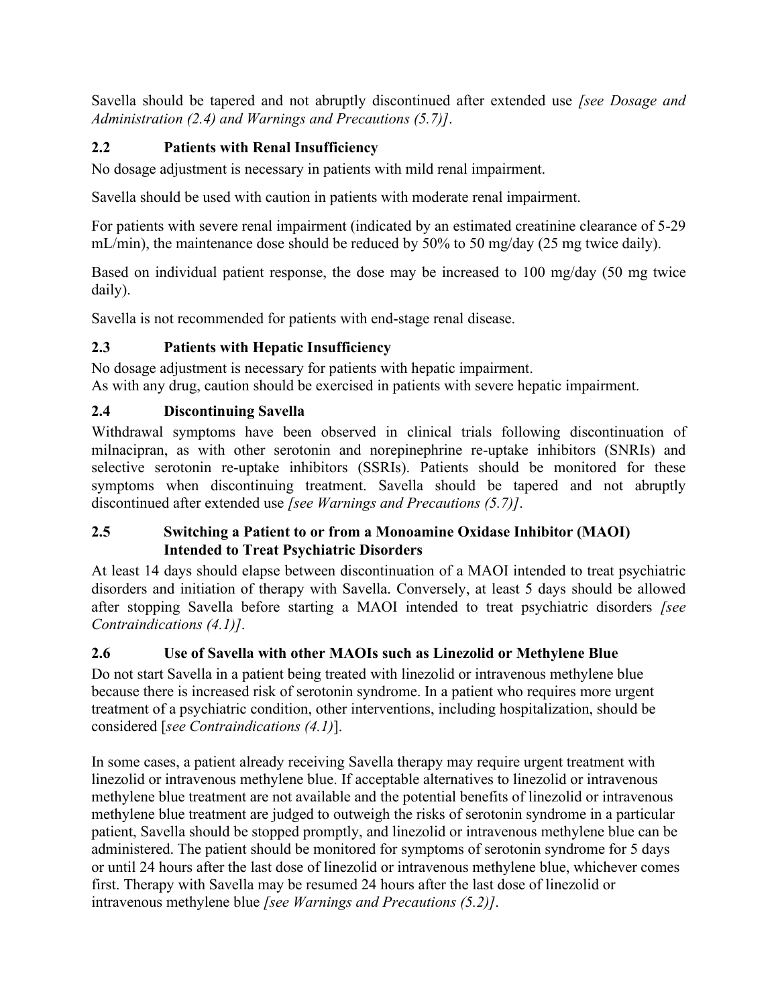Savella should be tapered and not abruptly discontinued after extended use *[see Dosage and Administration (2.4) and Warnings and Precautions (5.7)]*.

# <span id="page-3-0"></span>**2.2 Patients with Renal Insufficiency**

No dosage adjustment is necessary in patients with mild renal impairment.

Savella should be used with caution in patients with moderate renal impairment.

For patients with severe renal impairment (indicated by an estimated creatinine clearance of 5-29 mL/min), the maintenance dose should be reduced by 50% to 50 mg/day (25 mg twice daily).

Based on individual patient response, the dose may be increased to 100 mg/day (50 mg twice daily).

Savella is not recommended for patients with end-stage renal disease.

## <span id="page-3-1"></span>**2.3 Patients with Hepatic Insufficiency**

No dosage adjustment is necessary for patients with hepatic impairment. As with any drug, caution should be exercised in patients with severe hepatic impairment.

## <span id="page-3-2"></span>**2.4 Discontinuing Savella**

Withdrawal symptoms have been observed in clinical trials following discontinuation of milnacipran, as with other serotonin and norepinephrine re-uptake inhibitors (SNRIs) and selective serotonin re-uptake inhibitors (SSRIs). Patients should be monitored for these symptoms when discontinuing treatment. Savella should be tapered and not abruptly discontinued after extended use *[see Warnings and Precautions (5.7)]*.

#### <span id="page-3-3"></span>**2.5 Switching a Patient to or from a Monoamine Oxidase Inhibitor (MAOI) Intended to Treat Psychiatric Disorders**

At least 14 days should elapse between discontinuation of a MAOI intended to treat psychiatric disorders and initiation of therapy with Savella. Conversely, at least 5 days should be allowed after stopping Savella before starting a MAOI intended to treat psychiatric disorders *[see Contraindications (4.1)]*.

## <span id="page-3-4"></span>**2.6 Use of Savella with other MAOIs such as Linezolid or Methylene Blue**

Do not start Savella in a patient being treated with linezolid or intravenous methylene blue because there is increased risk of serotonin syndrome. In a patient who requires more urgent treatment of a psychiatric condition, other interventions, including hospitalization, should be considered [*see Contraindications (4.1)*].

In some cases, a patient already receiving Savella therapy may require urgent treatment with linezolid or intravenous methylene blue. If acceptable alternatives to linezolid or intravenous methylene blue treatment are not available and the potential benefits of linezolid or intravenous methylene blue treatment are judged to outweigh the risks of serotonin syndrome in a particular patient, Savella should be stopped promptly, and linezolid or intravenous methylene blue can be administered. The patient should be monitored for symptoms of serotonin syndrome for 5 days or until 24 hours after the last dose of linezolid or intravenous methylene blue, whichever comes first. Therapy with Savella may be resumed 24 hours after the last dose of linezolid or intravenous methylene blue *[see Warnings and Precautions (5.2)]*.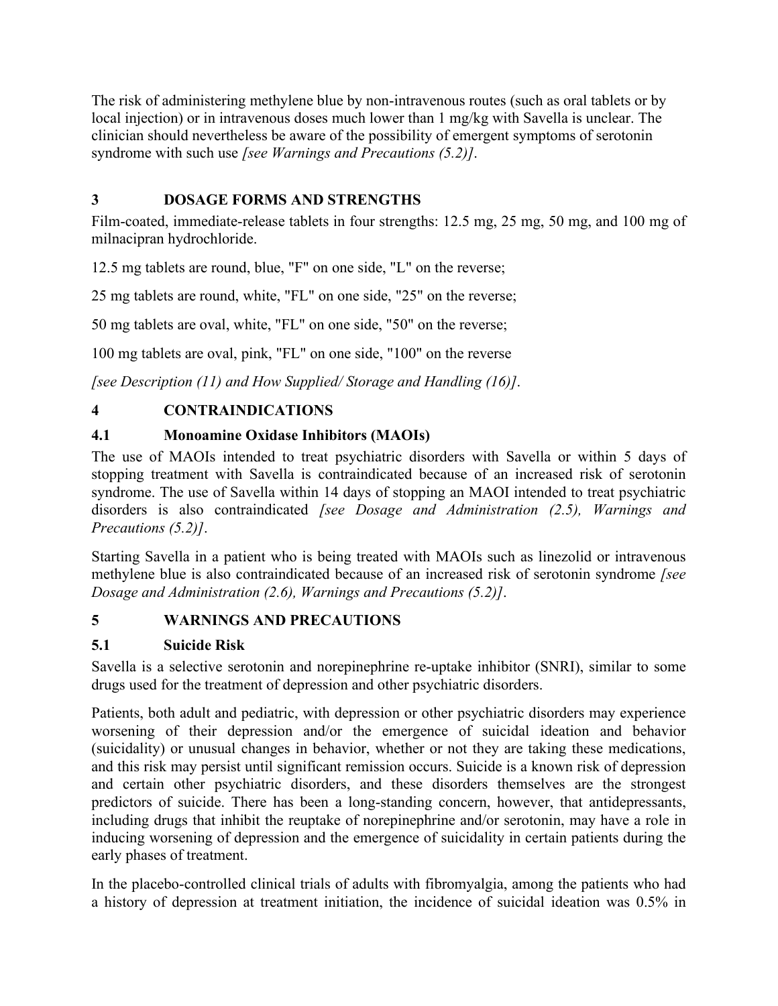The risk of administering methylene blue by non-intravenous routes (such as oral tablets or by local injection) or in intravenous doses much lower than 1 mg/kg with Savella is unclear. The clinician should nevertheless be aware of the possibility of emergent symptoms of serotonin syndrome with such use *[see Warnings and Precautions (5.2)]*.

# <span id="page-4-0"></span>**3 DOSAGE FORMS AND STRENGTHS**

Film-coated, immediate-release tablets in four strengths: 12.5 mg, 25 mg, 50 mg, and 100 mg of milnacipran hydrochloride.

12.5 mg tablets are round, blue, "F" on one side, "L" on the reverse;

25 mg tablets are round, white, "FL" on one side, "25" on the reverse;

50 mg tablets are oval, white, "FL" on one side, "50" on the reverse;

100 mg tablets are oval, pink, "FL" on one side, "100" on the reverse

*[see Description (11) and How Supplied/ Storage and Handling (16)]*.

# <span id="page-4-1"></span>**4 CONTRAINDICATIONS**

# <span id="page-4-2"></span>**4.1 Monoamine Oxidase Inhibitors (MAOIs)**

The use of MAOIs intended to treat psychiatric disorders with Savella or within 5 days of stopping treatment with Savella is contraindicated because of an increased risk of serotonin syndrome. The use of Savella within 14 days of stopping an MAOI intended to treat psychiatric disorders is also contraindicated *[see Dosage and Administration (2.5), Warnings and Precautions (5.2)]*.

Starting Savella in a patient who is being treated with MAOIs such as linezolid or intravenous methylene blue is also contraindicated because of an increased risk of serotonin syndrome *[see Dosage and Administration (2.6), Warnings and Precautions (5.2)]*.

# <span id="page-4-3"></span>**5 WARNINGS AND PRECAUTIONS**

# <span id="page-4-4"></span>**5.1 Suicide Risk**

Savella is a selective serotonin and norepinephrine re-uptake inhibitor (SNRI), similar to some drugs used for the treatment of depression and other psychiatric disorders.

Patients, both adult and pediatric, with depression or other psychiatric disorders may experience worsening of their depression and/or the emergence of suicidal ideation and behavior (suicidality) or unusual changes in behavior, whether or not they are taking these medications, and this risk may persist until significant remission occurs. Suicide is a known risk of depression and certain other psychiatric disorders, and these disorders themselves are the strongest predictors of suicide. There has been a long-standing concern, however, that antidepressants, including drugs that inhibit the reuptake of norepinephrine and/or serotonin, may have a role in inducing worsening of depression and the emergence of suicidality in certain patients during the early phases of treatment.

In the placebo-controlled clinical trials of adults with fibromyalgia, among the patients who had a history of depression at treatment initiation, the incidence of suicidal ideation was 0.5% in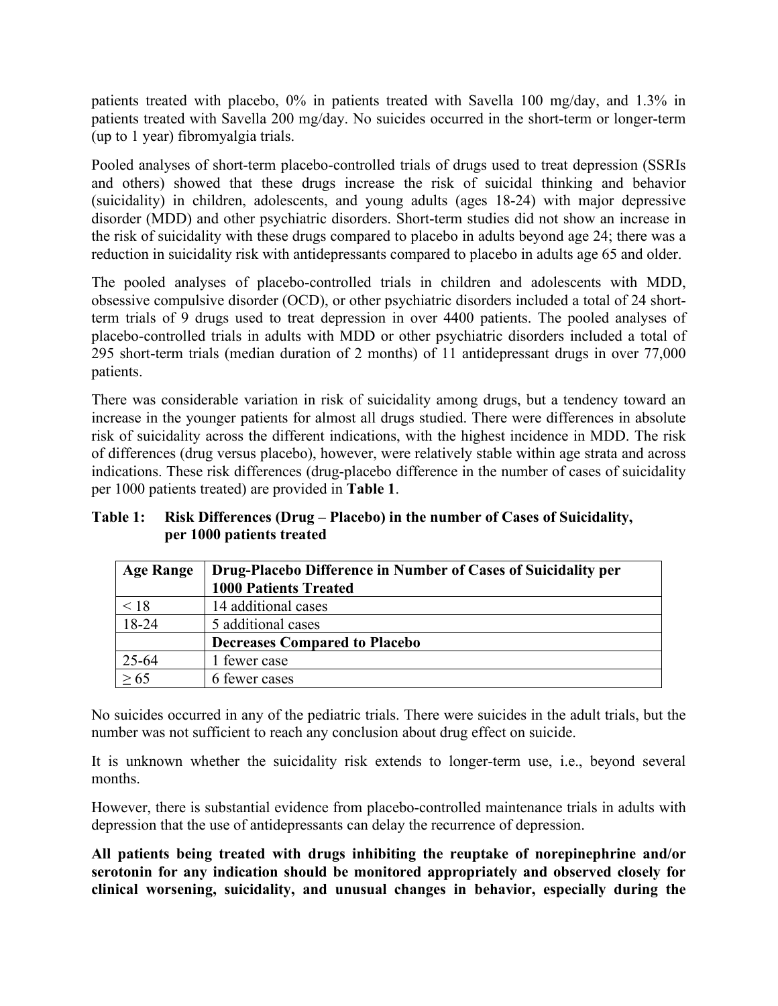patients treated with placebo, 0% in patients treated with Savella 100 mg/day, and 1.3% in patients treated with Savella 200 mg/day. No suicides occurred in the short-term or longer-term (up to 1 year) fibromyalgia trials.

Pooled analyses of short-term placebo-controlled trials of drugs used to treat depression (SSRIs and others) showed that these drugs increase the risk of suicidal thinking and behavior (suicidality) in children, adolescents, and young adults (ages 18-24) with major depressive disorder (MDD) and other psychiatric disorders. Short-term studies did not show an increase in the risk of suicidality with these drugs compared to placebo in adults beyond age 24; there was a reduction in suicidality risk with antidepressants compared to placebo in adults age 65 and older.

The pooled analyses of placebo-controlled trials in children and adolescents with MDD, obsessive compulsive disorder (OCD), or other psychiatric disorders included a total of 24 shortterm trials of 9 drugs used to treat depression in over 4400 patients. The pooled analyses of placebo-controlled trials in adults with MDD or other psychiatric disorders included a total of 295 short-term trials (median duration of 2 months) of 11 antidepressant drugs in over 77,000 patients.

There was considerable variation in risk of suicidality among drugs, but a tendency toward an increase in the younger patients for almost all drugs studied. There were differences in absolute risk of suicidality across the different indications, with the highest incidence in MDD. The risk of differences (drug versus placebo), however, were relatively stable within age strata and across indications. These risk differences (drug-placebo difference in the number of cases of suicidality per 1000 patients treated) are provided in **Table 1**.

**Table 1: Risk Differences (Drug – Placebo) in the number of Cases of Suicidality, per 1000 patients treated**

| <b>Age Range</b> | Drug-Placebo Difference in Number of Cases of Suicidality per |
|------------------|---------------------------------------------------------------|
|                  | <b>1000 Patients Treated</b>                                  |
| < 18             | 14 additional cases                                           |
| $18-24$          | 5 additional cases                                            |
|                  | <b>Decreases Compared to Placebo</b>                          |
| 25-64            | 1 fewer case                                                  |
|                  | 6 fewer cases                                                 |

No suicides occurred in any of the pediatric trials. There were suicides in the adult trials, but the number was not sufficient to reach any conclusion about drug effect on suicide.

It is unknown whether the suicidality risk extends to longer-term use, i.e., beyond several months.

However, there is substantial evidence from placebo-controlled maintenance trials in adults with depression that the use of antidepressants can delay the recurrence of depression.

**All patients being treated with drugs inhibiting the reuptake of norepinephrine and/or serotonin for any indication should be monitored appropriately and observed closely for clinical worsening, suicidality, and unusual changes in behavior, especially during the**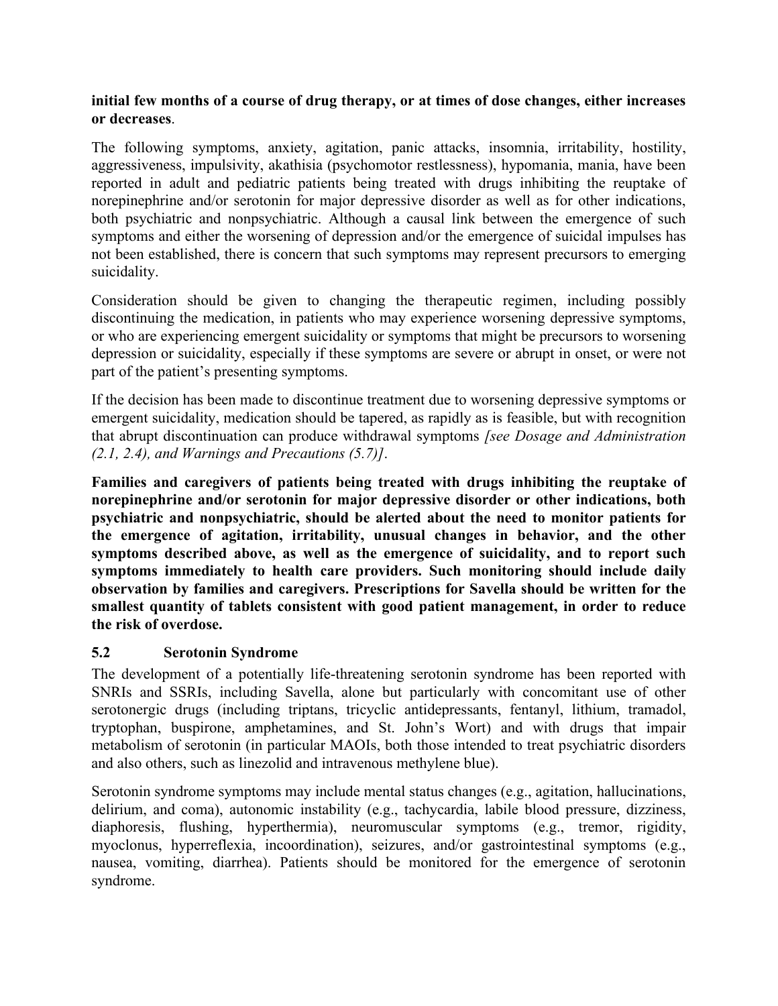#### **initial few months of a course of drug therapy, or at times of dose changes, either increases or decreases**.

The following symptoms, anxiety, agitation, panic attacks, insomnia, irritability, hostility, aggressiveness, impulsivity, akathisia (psychomotor restlessness), hypomania, mania, have been reported in adult and pediatric patients being treated with drugs inhibiting the reuptake of norepinephrine and/or serotonin for major depressive disorder as well as for other indications, both psychiatric and nonpsychiatric. Although a causal link between the emergence of such symptoms and either the worsening of depression and/or the emergence of suicidal impulses has not been established, there is concern that such symptoms may represent precursors to emerging suicidality.

Consideration should be given to changing the therapeutic regimen, including possibly discontinuing the medication, in patients who may experience worsening depressive symptoms, or who are experiencing emergent suicidality or symptoms that might be precursors to worsening depression or suicidality, especially if these symptoms are severe or abrupt in onset, or were not part of the patient's presenting symptoms.

If the decision has been made to discontinue treatment due to worsening depressive symptoms or emergent suicidality, medication should be tapered, as rapidly as is feasible, but with recognition that abrupt discontinuation can produce withdrawal symptoms *[see Dosage and Administration (2.1, 2.4), and Warnings and Precautions (5.7)]*.

**Families and caregivers of patients being treated with drugs inhibiting the reuptake of norepinephrine and/or serotonin for major depressive disorder or other indications, both psychiatric and nonpsychiatric, should be alerted about the need to monitor patients for the emergence of agitation, irritability, unusual changes in behavior, and the other symptoms described above, as well as the emergence of suicidality, and to report such symptoms immediately to health care providers. Such monitoring should include daily observation by families and caregivers. Prescriptions for Savella should be written for the smallest quantity of tablets consistent with good patient management, in order to reduce the risk of overdose.**

#### <span id="page-6-0"></span>**5.2 Serotonin Syndrome**

The development of a potentially life-threatening serotonin syndrome has been reported with SNRIs and SSRIs, including Savella, alone but particularly with concomitant use of other serotonergic drugs (including triptans, tricyclic antidepressants, fentanyl, lithium, tramadol, tryptophan, buspirone, amphetamines, and St. John's Wort) and with drugs that impair metabolism of serotonin (in particular MAOIs, both those intended to treat psychiatric disorders and also others, such as linezolid and intravenous methylene blue).

Serotonin syndrome symptoms may include mental status changes (e.g., agitation, hallucinations, delirium, and coma), autonomic instability (e.g., tachycardia, labile blood pressure, dizziness, diaphoresis, flushing, hyperthermia), neuromuscular symptoms (e.g., tremor, rigidity, myoclonus, hyperreflexia, incoordination), seizures, and/or gastrointestinal symptoms (e.g., nausea, vomiting, diarrhea). Patients should be monitored for the emergence of serotonin syndrome.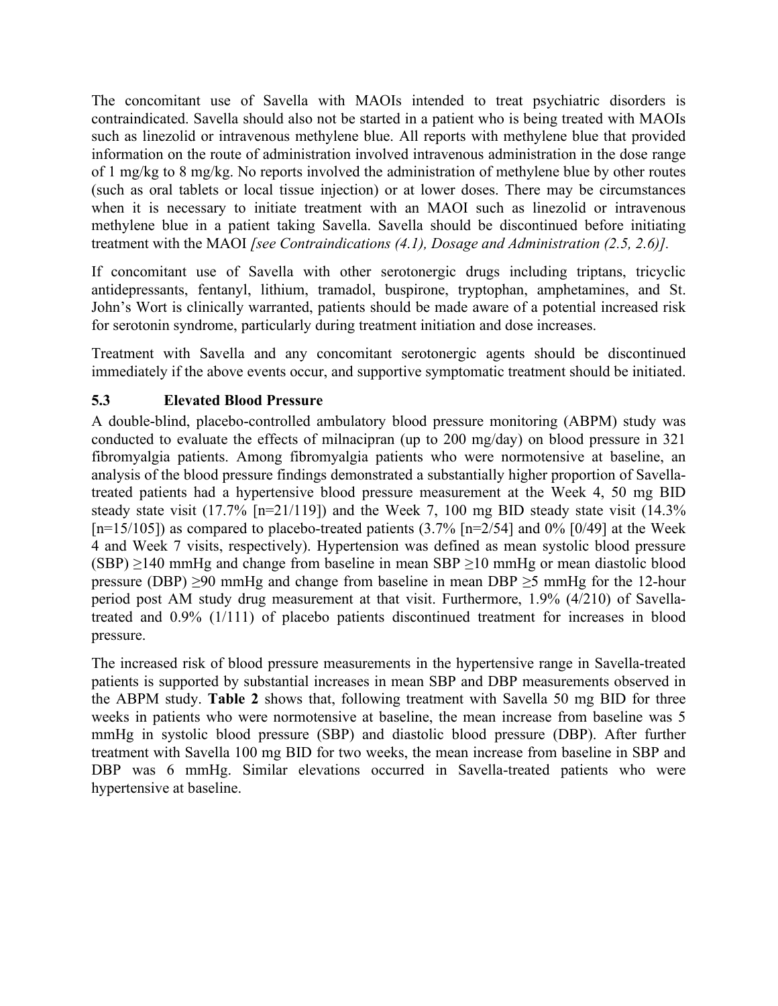The concomitant use of Savella with MAOIs intended to treat psychiatric disorders is contraindicated. Savella should also not be started in a patient who is being treated with MAOIs such as linezolid or intravenous methylene blue. All reports with methylene blue that provided information on the route of administration involved intravenous administration in the dose range of 1 mg/kg to 8 mg/kg. No reports involved the administration of methylene blue by other routes (such as oral tablets or local tissue injection) or at lower doses. There may be circumstances when it is necessary to initiate treatment with an MAOI such as linezolid or intravenous methylene blue in a patient taking Savella. Savella should be discontinued before initiating treatment with the MAOI *[see Contraindications (4.1), Dosage and Administration (2.5, 2.6)].*

If concomitant use of Savella with other serotonergic drugs including triptans, tricyclic antidepressants, fentanyl, lithium, tramadol, buspirone, tryptophan, amphetamines, and St. John's Wort is clinically warranted, patients should be made aware of a potential increased risk for serotonin syndrome, particularly during treatment initiation and dose increases.

Treatment with Savella and any concomitant serotonergic agents should be discontinued immediately if the above events occur, and supportive symptomatic treatment should be initiated.

## <span id="page-7-0"></span>**5.3 Elevated Blood Pressure**

A double-blind, placebo-controlled ambulatory blood pressure monitoring (ABPM) study was conducted to evaluate the effects of milnacipran (up to 200 mg/day) on blood pressure in 321 fibromyalgia patients. Among fibromyalgia patients who were normotensive at baseline, an analysis of the blood pressure findings demonstrated a substantially higher proportion of Savellatreated patients had a hypertensive blood pressure measurement at the Week 4, 50 mg BID steady state visit  $(17.7\%$  [n=21/119]) and the Week 7, 100 mg BID steady state visit  $(14.3\%$  $[n=15/105]$ ) as compared to placebo-treated patients (3.7%  $[n=2/54]$  and 0% [0/49] at the Week 4 and Week 7 visits, respectively). Hypertension was defined as mean systolic blood pressure  $(SBP) \ge 140$  mmHg and change from baseline in mean SBP  $\ge 10$  mmHg or mean diastolic blood pressure (DBP)  $\geq$ 90 mmHg and change from baseline in mean DBP  $\geq$ 5 mmHg for the 12-hour period post AM study drug measurement at that visit. Furthermore, 1.9% (4/210) of Savellatreated and 0.9% (1/111) of placebo patients discontinued treatment for increases in blood pressure.

The increased risk of blood pressure measurements in the hypertensive range in Savella-treated patients is supported by substantial increases in mean SBP and DBP measurements observed in the ABPM study. **Table 2** shows that, following treatment with Savella 50 mg BID for three weeks in patients who were normotensive at baseline, the mean increase from baseline was 5 mmHg in systolic blood pressure (SBP) and diastolic blood pressure (DBP). After further treatment with Savella 100 mg BID for two weeks, the mean increase from baseline in SBP and DBP was 6 mmHg. Similar elevations occurred in Savella-treated patients who were hypertensive at baseline.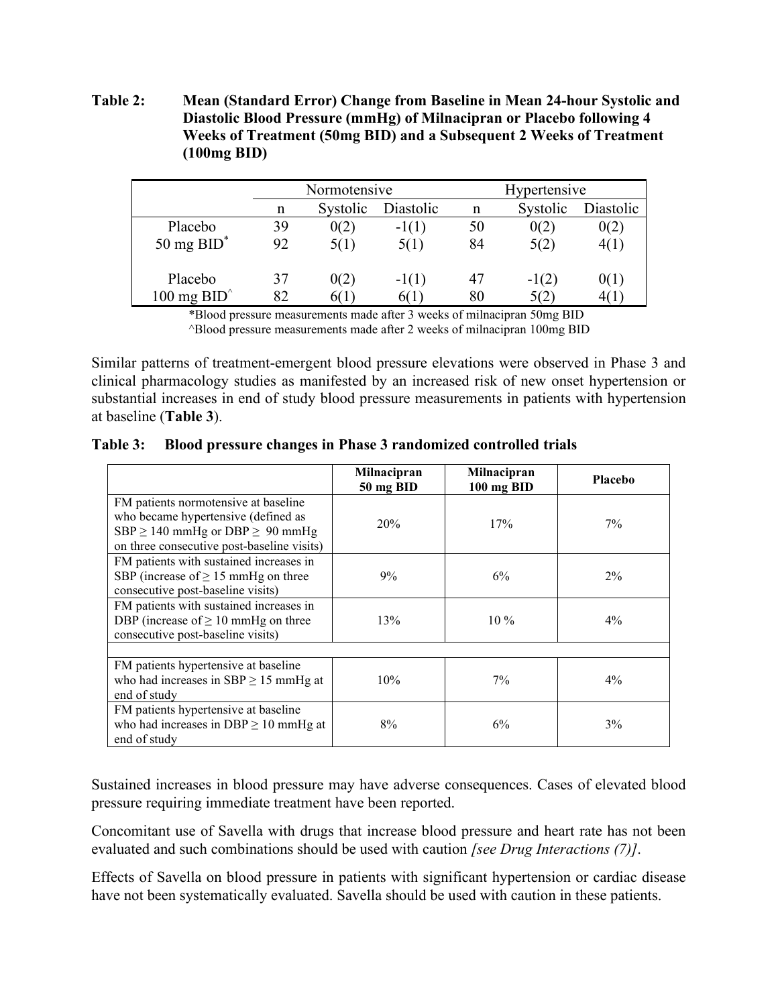**Table 2: Mean (Standard Error) Change from Baseline in Mean 24-hour Systolic and Diastolic Blood Pressure (mmHg) of Milnacipran or Placebo following 4 Weeks of Treatment (50mg BID) and a Subsequent 2 Weeks of Treatment (100mg BID)**

|                       | Normotensive |          |           | Hypertensive |          |           |
|-----------------------|--------------|----------|-----------|--------------|----------|-----------|
|                       | n            | Systolic | Diastolic | n            | Systolic | Diastolic |
| Placebo               | 39           | 0(2)     | $-1(1)$   | 50           | 0(2)     | 0(2)      |
| 50 mg $BID^*$         | 92           | 5(1)     | 5(1)      | 84           | 5(2)     | 4(1)      |
| Placebo               | 37           | 0(2)     | $-1(1)$   | 47           | $-1(2)$  | 0(1)      |
| 100 mg $BID^{\wedge}$ | 82           | 60 L     | 60 L      | 80           | 5(2)     |           |

\*Blood pressure measurements made after 3 weeks of milnacipran 50mg BID ^Blood pressure measurements made after 2 weeks of milnacipran 100mg BID

Similar patterns of treatment-emergent blood pressure elevations were observed in Phase 3 and clinical pharmacology studies as manifested by an increased risk of new onset hypertension or substantial increases in end of study blood pressure measurements in patients with hypertension at baseline (**Table 3**).

**Table 3: Blood pressure changes in Phase 3 randomized controlled trials**

|                                                                                                                                                                        | Milnacipran<br>50 mg BID | Milnacipran<br>100 mg BID | <b>Placebo</b> |
|------------------------------------------------------------------------------------------------------------------------------------------------------------------------|--------------------------|---------------------------|----------------|
| FM patients normotensive at baseline<br>who became hypertensive (defined as<br>SBP $\geq$ 140 mmHg or DBP $\geq$ 90 mmHg<br>on three consecutive post-baseline visits) | 20%                      | 17%                       | $7\%$          |
| FM patients with sustained increases in<br>SBP (increase of $\geq$ 15 mmHg on three<br>consecutive post-baseline visits)                                               | 9%                       | $6\%$                     | $2\%$          |
| FM patients with sustained increases in<br>DBP (increase of $\geq 10$ mmHg on three<br>consecutive post-baseline visits)                                               | 13%                      | $10\%$                    | $4\%$          |
| FM patients hypertensive at baseline                                                                                                                                   |                          |                           |                |
| who had increases in $SBP \ge 15$ mmHg at<br>end of study                                                                                                              | 10%                      | $7\%$                     | $4\%$          |
| FM patients hypertensive at baseline<br>who had increases in DBP $\geq$ 10 mmHg at<br>end of study                                                                     | 8%                       | 6%                        | $3\%$          |

Sustained increases in blood pressure may have adverse consequences. Cases of elevated blood pressure requiring immediate treatment have been reported.

Concomitant use of Savella with drugs that increase blood pressure and heart rate has not been evaluated and such combinations should be used with caution *[see Drug Interactions (7)]*.

Effects of Savella on blood pressure in patients with significant hypertension or cardiac disease have not been systematically evaluated. Savella should be used with caution in these patients.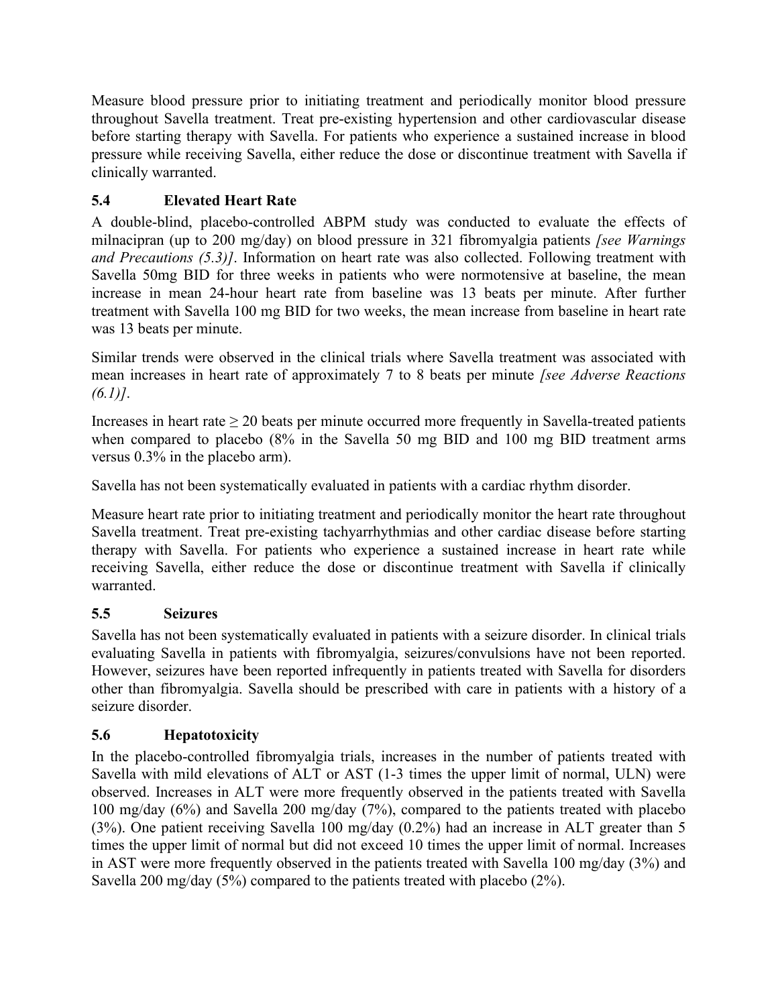Measure blood pressure prior to initiating treatment and periodically monitor blood pressure throughout Savella treatment. Treat pre-existing hypertension and other cardiovascular disease before starting therapy with Savella. For patients who experience a sustained increase in blood pressure while receiving Savella, either reduce the dose or discontinue treatment with Savella if clinically warranted.

# <span id="page-9-0"></span>**5.4 Elevated Heart Rate**

A double-blind, placebo-controlled ABPM study was conducted to evaluate the effects of milnacipran (up to 200 mg/day) on blood pressure in 321 fibromyalgia patients *[see Warnings and Precautions (5.3)]*. Information on heart rate was also collected. Following treatment with Savella 50mg BID for three weeks in patients who were normotensive at baseline, the mean increase in mean 24-hour heart rate from baseline was 13 beats per minute. After further treatment with Savella 100 mg BID for two weeks, the mean increase from baseline in heart rate was 13 beats per minute.

Similar trends were observed in the clinical trials where Savella treatment was associated with mean increases in heart rate of approximately 7 to 8 beats per minute *[see Adverse Reactions (6.1)]*.

Increases in heart rate  $\geq 20$  beats per minute occurred more frequently in Savella-treated patients when compared to placebo (8% in the Savella 50 mg BID and 100 mg BID treatment arms versus 0.3% in the placebo arm).

Savella has not been systematically evaluated in patients with a cardiac rhythm disorder.

Measure heart rate prior to initiating treatment and periodically monitor the heart rate throughout Savella treatment. Treat pre-existing tachyarrhythmias and other cardiac disease before starting therapy with Savella. For patients who experience a sustained increase in heart rate while receiving Savella, either reduce the dose or discontinue treatment with Savella if clinically warranted.

# <span id="page-9-1"></span>**5.5 Seizures**

Savella has not been systematically evaluated in patients with a seizure disorder. In clinical trials evaluating Savella in patients with fibromyalgia, seizures/convulsions have not been reported. However, seizures have been reported infrequently in patients treated with Savella for disorders other than fibromyalgia. Savella should be prescribed with care in patients with a history of a seizure disorder.

# <span id="page-9-2"></span>**5.6 Hepatotoxicity**

In the placebo-controlled fibromyalgia trials, increases in the number of patients treated with Savella with mild elevations of ALT or AST (1-3 times the upper limit of normal, ULN) were observed. Increases in ALT were more frequently observed in the patients treated with Savella 100 mg/day (6%) and Savella 200 mg/day (7%), compared to the patients treated with placebo (3%). One patient receiving Savella 100 mg/day (0.2%) had an increase in ALT greater than 5 times the upper limit of normal but did not exceed 10 times the upper limit of normal. Increases in AST were more frequently observed in the patients treated with Savella 100 mg/day (3%) and Savella 200 mg/day (5%) compared to the patients treated with placebo (2%).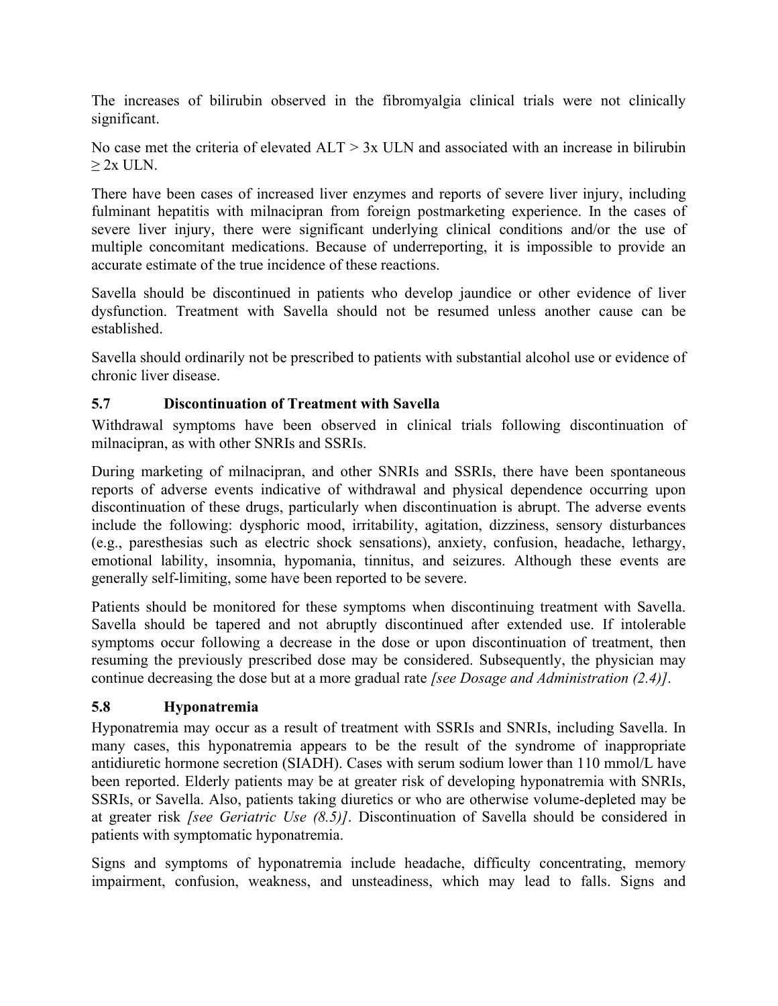The increases of bilirubin observed in the fibromyalgia clinical trials were not clinically significant.

No case met the criteria of elevated  $ALT > 3x$  ULN and associated with an increase in bilirubin  $> 2x$  ULN.

There have been cases of increased liver enzymes and reports of severe liver injury, including fulminant hepatitis with milnacipran from foreign postmarketing experience. In the cases of severe liver injury, there were significant underlying clinical conditions and/or the use of multiple concomitant medications. Because of underreporting, it is impossible to provide an accurate estimate of the true incidence of these reactions.

Savella should be discontinued in patients who develop jaundice or other evidence of liver dysfunction. Treatment with Savella should not be resumed unless another cause can be established.

Savella should ordinarily not be prescribed to patients with substantial alcohol use or evidence of chronic liver disease.

## <span id="page-10-0"></span>**5.7 Discontinuation of Treatment with Savella**

Withdrawal symptoms have been observed in clinical trials following discontinuation of milnacipran, as with other SNRIs and SSRIs.

During marketing of milnacipran, and other SNRIs and SSRIs, there have been spontaneous reports of adverse events indicative of withdrawal and physical dependence occurring upon discontinuation of these drugs, particularly when discontinuation is abrupt. The adverse events include the following: dysphoric mood, irritability, agitation, dizziness, sensory disturbances (e.g., paresthesias such as electric shock sensations), anxiety, confusion, headache, lethargy, emotional lability, insomnia, hypomania, tinnitus, and seizures. Although these events are generally self-limiting, some have been reported to be severe.

Patients should be monitored for these symptoms when discontinuing treatment with Savella. Savella should be tapered and not abruptly discontinued after extended use. If intolerable symptoms occur following a decrease in the dose or upon discontinuation of treatment, then resuming the previously prescribed dose may be considered. Subsequently, the physician may continue decreasing the dose but at a more gradual rate *[see Dosage and Administration (2.4)]*.

# <span id="page-10-1"></span>**5.8 Hyponatremia**

Hyponatremia may occur as a result of treatment with SSRIs and SNRIs, including Savella. In many cases, this hyponatremia appears to be the result of the syndrome of inappropriate antidiuretic hormone secretion (SIADH). Cases with serum sodium lower than 110 mmol/L have been reported. Elderly patients may be at greater risk of developing hyponatremia with SNRIs, SSRIs, or Savella. Also, patients taking diuretics or who are otherwise volume-depleted may be at greater risk *[see Geriatric Use (8.5)]*. Discontinuation of Savella should be considered in patients with symptomatic hyponatremia.

Signs and symptoms of hyponatremia include headache, difficulty concentrating, memory impairment, confusion, weakness, and unsteadiness, which may lead to falls. Signs and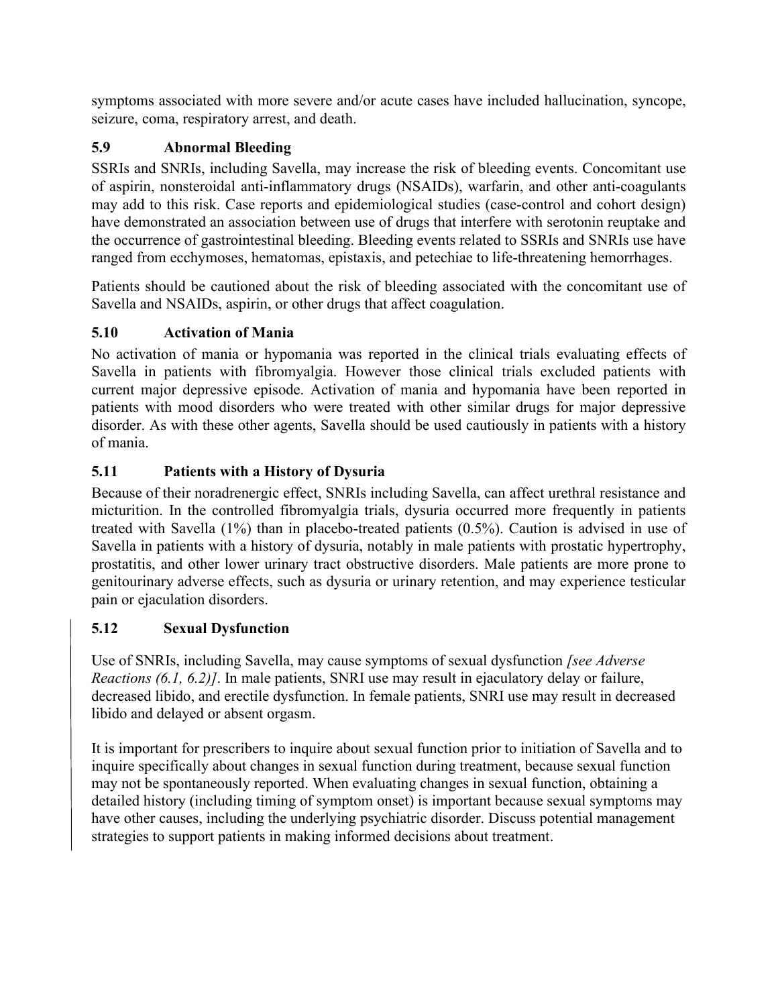symptoms associated with more severe and/or acute cases have included hallucination, syncope, seizure, coma, respiratory arrest, and death.

# <span id="page-11-0"></span>**5.9 Abnormal Bleeding**

SSRIs and SNRIs, including Savella, may increase the risk of bleeding events. Concomitant use of aspirin, nonsteroidal anti-inflammatory drugs (NSAIDs), warfarin, and other anti-coagulants may add to this risk. Case reports and epidemiological studies (case-control and cohort design) have demonstrated an association between use of drugs that interfere with serotonin reuptake and the occurrence of gastrointestinal bleeding. Bleeding events related to SSRIs and SNRIs use have ranged from ecchymoses, hematomas, epistaxis, and petechiae to life-threatening hemorrhages.

Patients should be cautioned about the risk of bleeding associated with the concomitant use of Savella and NSAIDs, aspirin, or other drugs that affect coagulation.

# <span id="page-11-1"></span>**5.10 Activation of Mania**

No activation of mania or hypomania was reported in the clinical trials evaluating effects of Savella in patients with fibromyalgia. However those clinical trials excluded patients with current major depressive episode. Activation of mania and hypomania have been reported in patients with mood disorders who were treated with other similar drugs for major depressive disorder. As with these other agents, Savella should be used cautiously in patients with a history of mania.

# <span id="page-11-2"></span>**5.11 Patients with a History of Dysuria**

Because of their noradrenergic effect, SNRIs including Savella, can affect urethral resistance and micturition. In the controlled fibromyalgia trials, dysuria occurred more frequently in patients treated with Savella (1%) than in placebo-treated patients (0.5%). Caution is advised in use of Savella in patients with a history of dysuria, notably in male patients with prostatic hypertrophy, prostatitis, and other lower urinary tract obstructive disorders. Male patients are more prone to genitourinary adverse effects, such as dysuria or urinary retention, and may experience testicular pain or ejaculation disorders.

# <span id="page-11-3"></span>**5.12 Sexual Dysfunction**

Use of SNRIs, including Savella, may cause symptoms of sexual dysfunction *[see Adverse Reactions (6.1, 6.2)]*. In male patients, SNRI use may result in ejaculatory delay or failure, decreased libido, and erectile dysfunction. In female patients, SNRI use may result in decreased libido and delayed or absent orgasm.

It is important for prescribers to inquire about sexual function prior to initiation of Savella and to inquire specifically about changes in sexual function during treatment, because sexual function may not be spontaneously reported. When evaluating changes in sexual function, obtaining a detailed history (including timing of symptom onset) is important because sexual symptoms may have other causes, including the underlying psychiatric disorder. Discuss potential management strategies to support patients in making informed decisions about treatment.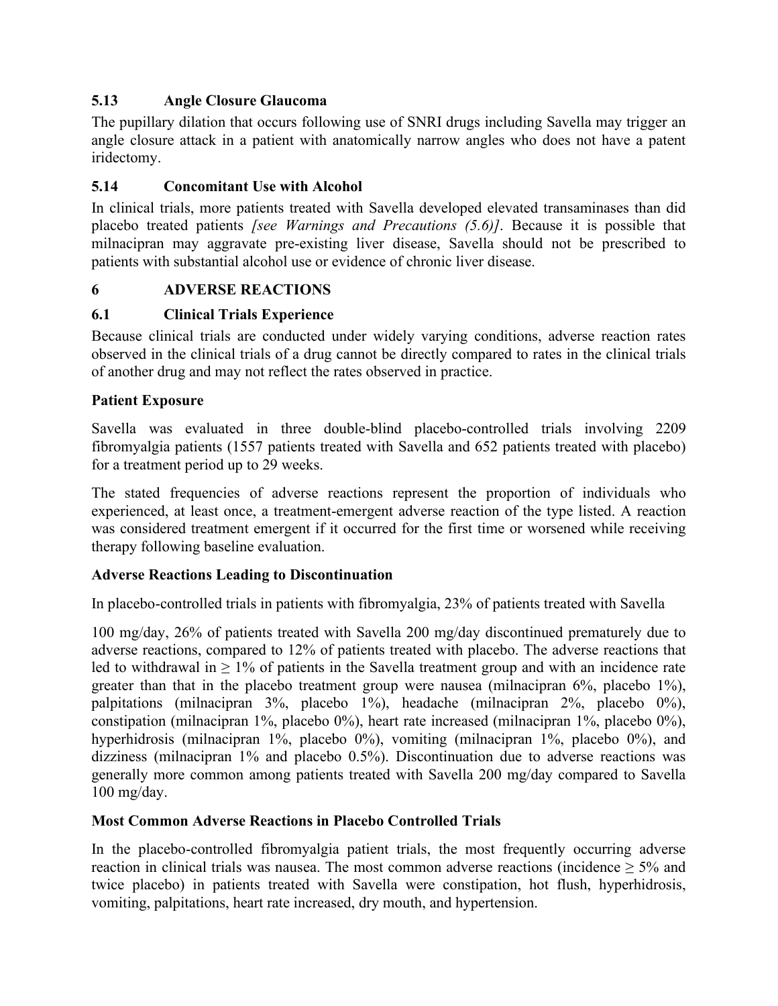## <span id="page-12-0"></span>**5.13 Angle Closure Glaucoma**

The pupillary dilation that occurs following use of SNRI drugs including Savella may trigger an angle closure attack in a patient with anatomically narrow angles who does not have a patent iridectomy.

## <span id="page-12-1"></span>**5.14 Concomitant Use with Alcohol**

In clinical trials, more patients treated with Savella developed elevated transaminases than did placebo treated patients *[see Warnings and Precautions (5.6)]*. Because it is possible that milnacipran may aggravate pre-existing liver disease, Savella should not be prescribed to patients with substantial alcohol use or evidence of chronic liver disease.

#### <span id="page-12-2"></span>**6 ADVERSE REACTIONS**

#### <span id="page-12-3"></span>**6.1 Clinical Trials Experience**

Because clinical trials are conducted under widely varying conditions, adverse reaction rates observed in the clinical trials of a drug cannot be directly compared to rates in the clinical trials of another drug and may not reflect the rates observed in practice.

#### **Patient Exposure**

Savella was evaluated in three double-blind placebo-controlled trials involving 2209 fibromyalgia patients (1557 patients treated with Savella and 652 patients treated with placebo) for a treatment period up to 29 weeks.

The stated frequencies of adverse reactions represent the proportion of individuals who experienced, at least once, a treatment-emergent adverse reaction of the type listed. A reaction was considered treatment emergent if it occurred for the first time or worsened while receiving therapy following baseline evaluation.

#### **Adverse Reactions Leading to Discontinuation**

In placebo-controlled trials in patients with fibromyalgia, 23% of patients treated with Savella

100 mg/day, 26% of patients treated with Savella 200 mg/day discontinued prematurely due to adverse reactions, compared to 12% of patients treated with placebo. The adverse reactions that led to withdrawal in  $\geq 1\%$  of patients in the Savella treatment group and with an incidence rate greater than that in the placebo treatment group were nausea (milnacipran 6%, placebo 1%), palpitations (milnacipran 3%, placebo 1%), headache (milnacipran 2%, placebo 0%), constipation (milnacipran 1%, placebo 0%), heart rate increased (milnacipran 1%, placebo 0%), hyperhidrosis (milnacipran 1%, placebo 0%), vomiting (milnacipran 1%, placebo 0%), and dizziness (milnacipran 1% and placebo 0.5%). Discontinuation due to adverse reactions was generally more common among patients treated with Savella 200 mg/day compared to Savella 100 mg/day.

#### **Most Common Adverse Reactions in Placebo Controlled Trials**

In the placebo-controlled fibromyalgia patient trials, the most frequently occurring adverse reaction in clinical trials was nausea. The most common adverse reactions (incidence  $\geq 5\%$  and twice placebo) in patients treated with Savella were constipation, hot flush, hyperhidrosis, vomiting, palpitations, heart rate increased, dry mouth, and hypertension.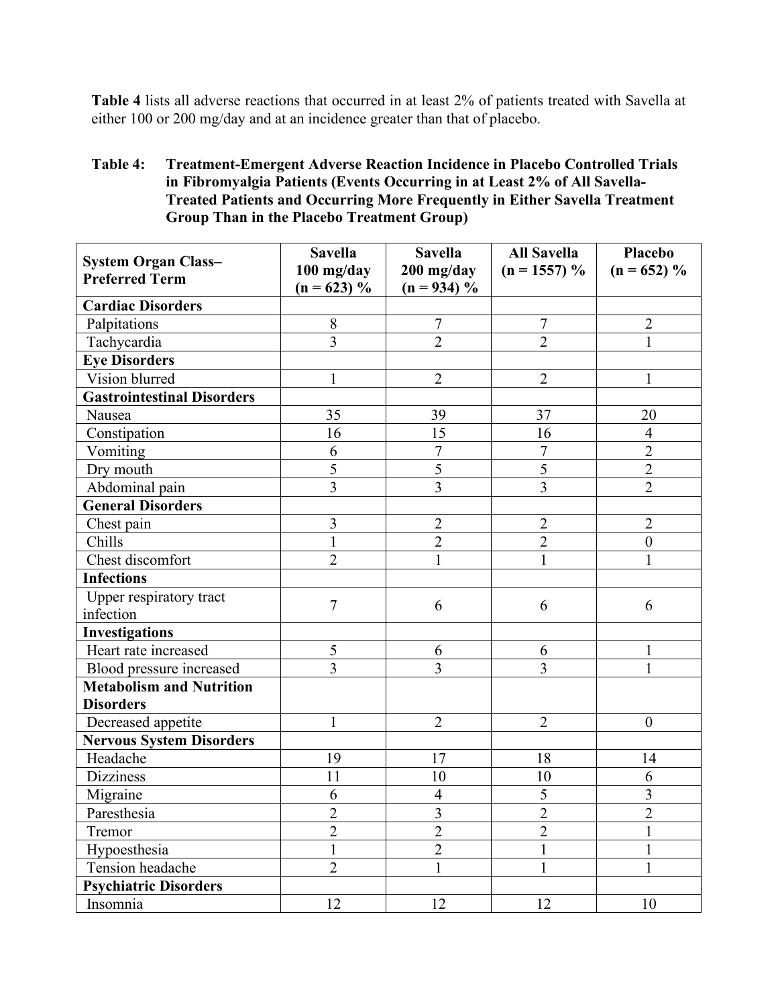**Table 4** lists all adverse reactions that occurred in at least 2% of patients treated with Savella at either 100 or 200 mg/day and at an incidence greater than that of placebo.

#### **Table 4: Treatment-Emergent Adverse Reaction Incidence in Placebo Controlled Trials in Fibromyalgia Patients (Events Occurring in at Least 2% of All Savella-Treated Patients and Occurring More Frequently in Either Savella Treatment Group Than in the Placebo Treatment Group)**

| <b>System Organ Class-</b><br><b>Preferred Term</b> | <b>Savella</b><br>100 mg/day<br>$(n = 623) %$ | <b>Savella</b><br>$200$ mg/day<br>$(n = 934)$ % | <b>All Savella</b><br>$(n = 1557) %$ | Placebo<br>$(n = 652) %$ |
|-----------------------------------------------------|-----------------------------------------------|-------------------------------------------------|--------------------------------------|--------------------------|
| <b>Cardiac Disorders</b>                            |                                               |                                                 |                                      |                          |
| Palpitations                                        | 8                                             | $\overline{7}$                                  | $\overline{7}$                       | $\overline{2}$           |
| Tachycardia                                         | $\overline{3}$                                | $\overline{2}$                                  | $\overline{2}$                       | $\mathbf{1}$             |
| <b>Eye Disorders</b>                                |                                               |                                                 |                                      |                          |
| Vision blurred                                      | $\mathbf{1}$                                  | $\overline{2}$                                  | $\overline{2}$                       | $\mathbf{1}$             |
| <b>Gastrointestinal Disorders</b>                   |                                               |                                                 |                                      |                          |
| Nausea                                              | 35                                            | 39                                              | 37                                   | 20                       |
| Constipation                                        | 16                                            | 15                                              | 16                                   | $\overline{4}$           |
| Vomiting                                            | 6                                             | 7                                               | $\overline{7}$                       | $\overline{2}$           |
| Dry mouth                                           | 5                                             | $\overline{5}$                                  | 5                                    | $\overline{2}$           |
| Abdominal pain                                      | $\overline{3}$                                | $\overline{3}$                                  | 3                                    | $\overline{2}$           |
| <b>General Disorders</b>                            |                                               |                                                 |                                      |                          |
| Chest pain                                          | 3                                             | $\overline{2}$                                  | $\overline{2}$                       | $\overline{2}$           |
| Chills                                              | $\mathbf{1}$                                  | $\overline{2}$                                  | $\overline{c}$                       | $\overline{0}$           |
| Chest discomfort                                    | $\overline{2}$                                | 1                                               | $\mathbf{1}$                         | $\mathbf{1}$             |
| <b>Infections</b>                                   |                                               |                                                 |                                      |                          |
| Upper respiratory tract                             | $\overline{7}$                                | 6                                               |                                      |                          |
| infection                                           |                                               |                                                 | 6                                    | 6                        |
| <b>Investigations</b>                               |                                               |                                                 |                                      |                          |
| Heart rate increased                                | 5                                             | 6                                               | 6                                    | 1                        |
| Blood pressure increased                            | 3                                             | 3                                               | 3                                    | 1                        |
| <b>Metabolism and Nutrition</b>                     |                                               |                                                 |                                      |                          |
| <b>Disorders</b>                                    |                                               |                                                 |                                      |                          |
| Decreased appetite                                  | $\mathbf{1}$                                  | $\overline{2}$                                  | $\overline{2}$                       | $\boldsymbol{0}$         |
| <b>Nervous System Disorders</b>                     |                                               |                                                 |                                      |                          |
| Headache                                            | 19                                            | 17                                              | 18                                   | 14                       |
| <b>Dizziness</b>                                    | 11                                            | 10                                              | 10                                   | 6                        |
| Migraine                                            | 6                                             | $\overline{4}$                                  | 5                                    | $\overline{\mathbf{3}}$  |
| Paresthesia                                         | $\overline{2}$                                | $\overline{\mathbf{3}}$                         | $\overline{2}$                       | $\overline{2}$           |
| Tremor                                              | $\overline{2}$                                | $\overline{2}$                                  | $\overline{2}$                       | $\mathbf{1}$             |
| Hypoesthesia                                        | $\mathbf{1}$                                  | $\overline{2}$                                  | $\mathbf{1}$                         | $\mathbf{1}$             |
| Tension headache                                    | $\overline{2}$                                | $\mathbf{1}$                                    | $\mathbf{1}$                         | 1                        |
| <b>Psychiatric Disorders</b>                        |                                               |                                                 |                                      |                          |
| Insomnia                                            | 12                                            | 12                                              | 12                                   | 10                       |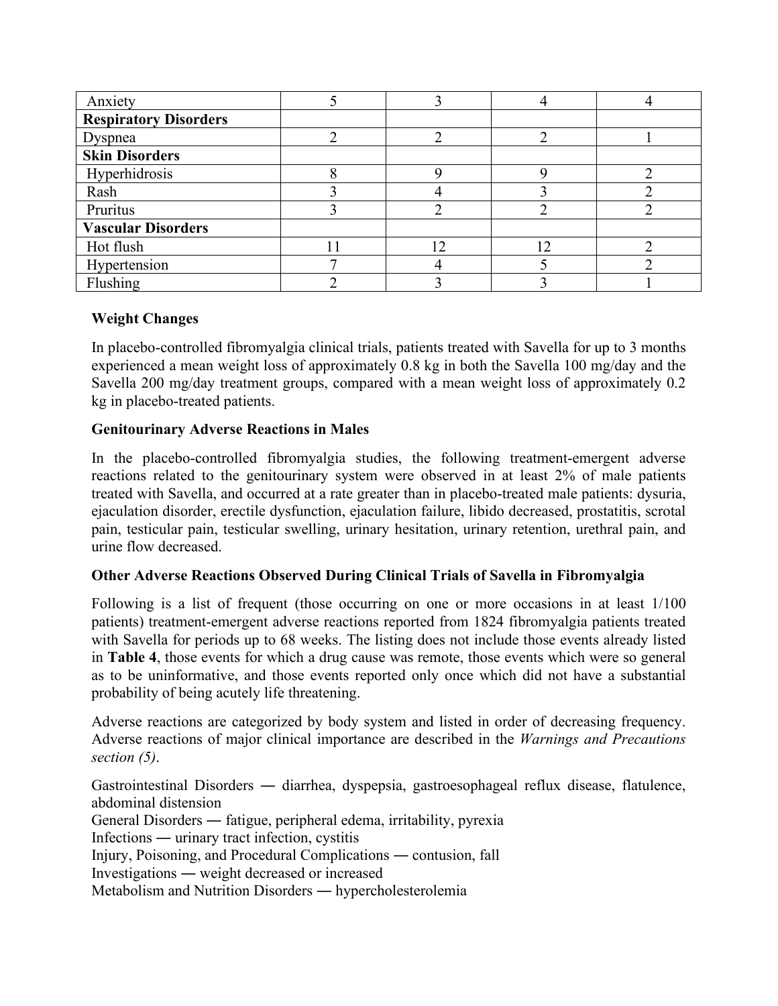| Anxiety                      |    |    |  |
|------------------------------|----|----|--|
| <b>Respiratory Disorders</b> |    |    |  |
| Dyspnea                      |    |    |  |
| <b>Skin Disorders</b>        |    |    |  |
| Hyperhidrosis                |    |    |  |
| Rash                         |    |    |  |
| Pruritus                     |    |    |  |
| <b>Vascular Disorders</b>    |    |    |  |
| Hot flush                    | 12 | 12 |  |
| Hypertension                 |    |    |  |
| Flushing                     |    |    |  |

## **Weight Changes**

In placebo-controlled fibromyalgia clinical trials, patients treated with Savella for up to 3 months experienced a mean weight loss of approximately 0.8 kg in both the Savella 100 mg/day and the Savella 200 mg/day treatment groups, compared with a mean weight loss of approximately 0.2 kg in placebo-treated patients.

#### **Genitourinary Adverse Reactions in Males**

In the placebo-controlled fibromyalgia studies, the following treatment-emergent adverse reactions related to the genitourinary system were observed in at least 2% of male patients treated with Savella, and occurred at a rate greater than in placebo-treated male patients: dysuria, ejaculation disorder, erectile dysfunction, ejaculation failure, libido decreased, prostatitis, scrotal pain, testicular pain, testicular swelling, urinary hesitation, urinary retention, urethral pain, and urine flow decreased.

#### **Other Adverse Reactions Observed During Clinical Trials of Savella in Fibromyalgia**

Following is a list of frequent (those occurring on one or more occasions in at least  $1/100$ patients) treatment-emergent adverse reactions reported from 1824 fibromyalgia patients treated with Savella for periods up to 68 weeks. The listing does not include those events already listed in **Table 4**, those events for which a drug cause was remote, those events which were so general as to be uninformative, and those events reported only once which did not have a substantial probability of being acutely life threatening.

Adverse reactions are categorized by body system and listed in order of decreasing frequency. Adverse reactions of major clinical importance are described in the *Warnings and Precautions section (5)*.

Gastrointestinal Disorders ― diarrhea, dyspepsia, gastroesophageal reflux disease, flatulence, abdominal distension General Disorders ― fatigue, peripheral edema, irritability, pyrexia Infections ― urinary tract infection, cystitis Injury, Poisoning, and Procedural Complications ― contusion, fall Investigations ― weight decreased or increased Metabolism and Nutrition Disorders ― hypercholesterolemia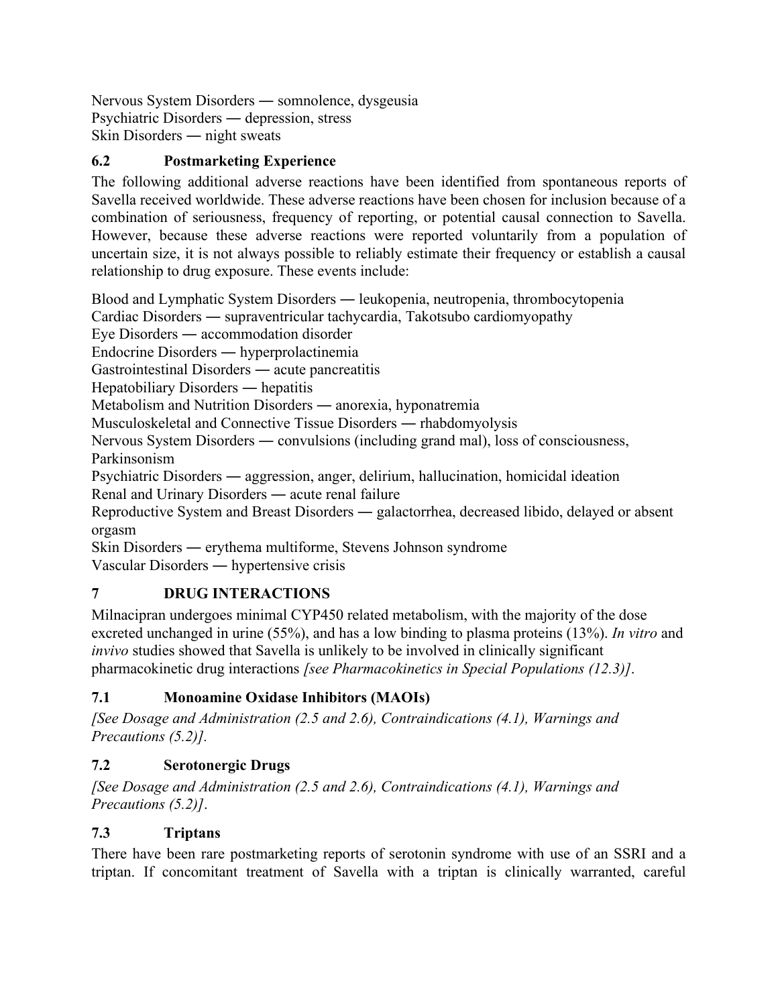Nervous System Disorders ― somnolence, dysgeusia Psychiatric Disorders ― depression, stress Skin Disorders ― night sweats

# <span id="page-15-0"></span>**6.2 Postmarketing Experience**

The following additional adverse reactions have been identified from spontaneous reports of Savella received worldwide. These adverse reactions have been chosen for inclusion because of a combination of seriousness, frequency of reporting, or potential causal connection to Savella. However, because these adverse reactions were reported voluntarily from a population of uncertain size, it is not always possible to reliably estimate their frequency or establish a causal relationship to drug exposure. These events include:

Blood and Lymphatic System Disorders ― leukopenia, neutropenia, thrombocytopenia

Cardiac Disorders ― supraventricular tachycardia, Takotsubo cardiomyopathy

Eye Disorders ― accommodation disorder

Endocrine Disorders ― hyperprolactinemia

Gastrointestinal Disorders ― acute pancreatitis

Hepatobiliary Disorders ― hepatitis

Metabolism and Nutrition Disorders ― anorexia, hyponatremia

Musculoskeletal and Connective Tissue Disorders ― rhabdomyolysis

Nervous System Disorders ― convulsions (including grand mal), loss of consciousness, Parkinsonism

Psychiatric Disorders ― aggression, anger, delirium, hallucination, homicidal ideation Renal and Urinary Disorders ― acute renal failure

Reproductive System and Breast Disorders ― galactorrhea, decreased libido, delayed or absent orgasm

Skin Disorders ― erythema multiforme, Stevens Johnson syndrome

Vascular Disorders ― hypertensive crisis

# <span id="page-15-1"></span>**7 DRUG INTERACTIONS**

Milnacipran undergoes minimal CYP450 related metabolism, with the majority of the dose excreted unchanged in urine (55%), and has a low binding to plasma proteins (13%). *In vitro* and *invivo* studies showed that Savella is unlikely to be involved in clinically significant pharmacokinetic drug interactions *[see Pharmacokinetics in Special Populations (12.3)]*.

# <span id="page-15-2"></span>**7.1 Monoamine Oxidase Inhibitors (MAOIs)**

*[See Dosage and Administration (2.5 and 2.6), Contraindications (4.1), Warnings and Precautions (5.2)].*

# <span id="page-15-3"></span>**7.2 Serotonergic Drugs**

*[See Dosage and Administration (2.5 and 2.6), Contraindications (4.1), Warnings and Precautions (5.2)]*.

# <span id="page-15-4"></span>**7.3 Triptans**

There have been rare postmarketing reports of serotonin syndrome with use of an SSRI and a triptan. If concomitant treatment of Savella with a triptan is clinically warranted, careful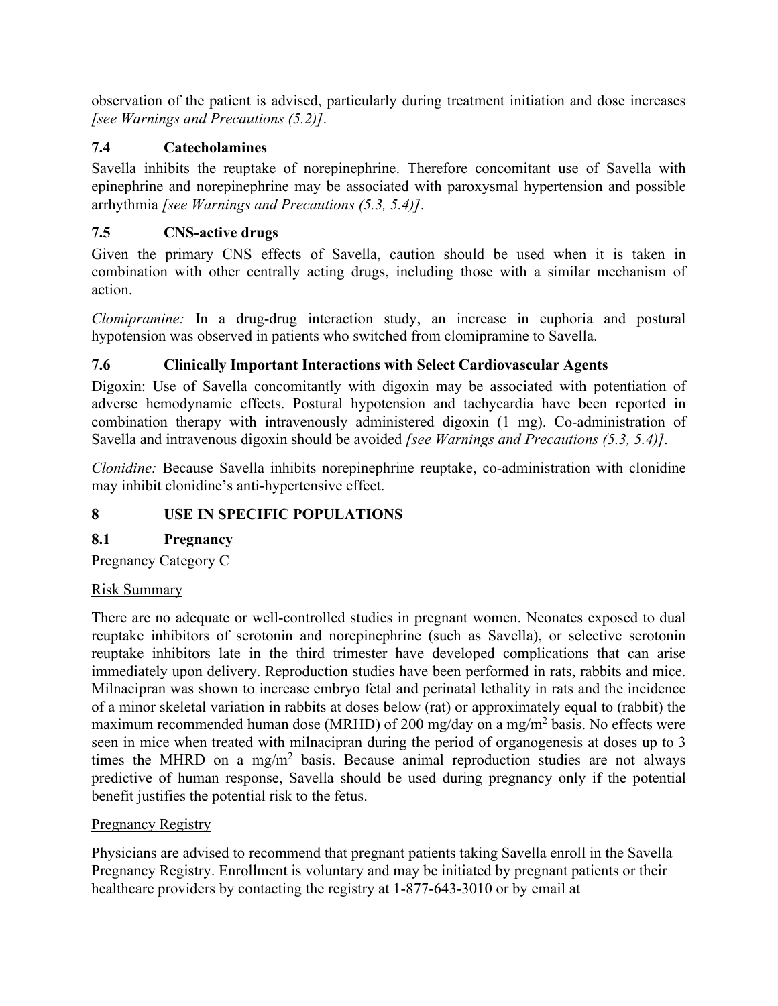observation of the patient is advised, particularly during treatment initiation and dose increases *[see Warnings and Precautions (5.2)]*.

# <span id="page-16-0"></span>**7.4 Catecholamines**

Savella inhibits the reuptake of norepinephrine. Therefore concomitant use of Savella with epinephrine and norepinephrine may be associated with paroxysmal hypertension and possible arrhythmia *[see Warnings and Precautions (5.3, 5.4)]*.

# <span id="page-16-1"></span>**7.5 CNS-active drugs**

Given the primary CNS effects of Savella, caution should be used when it is taken in combination with other centrally acting drugs, including those with a similar mechanism of action.

*Clomipramine:* In a drug-drug interaction study, an increase in euphoria and postural hypotension was observed in patients who switched from clomipramine to Savella.

# <span id="page-16-2"></span>**7.6 Clinically Important Interactions with Select Cardiovascular Agents**

Digoxin: Use of Savella concomitantly with digoxin may be associated with potentiation of adverse hemodynamic effects. Postural hypotension and tachycardia have been reported in combination therapy with intravenously administered digoxin (1 mg). Co-administration of Savella and intravenous digoxin should be avoided *[see Warnings and Precautions (5.3, 5.4)]*.

*Clonidine:* Because Savella inhibits norepinephrine reuptake, co-administration with clonidine may inhibit clonidine's anti-hypertensive effect.

# <span id="page-16-3"></span>**8 USE IN SPECIFIC POPULATIONS**

# <span id="page-16-4"></span>**8.1 Pregnancy**

Pregnancy Category C

## Risk Summary

There are no adequate or well-controlled studies in pregnant women. Neonates exposed to dual reuptake inhibitors of serotonin and norepinephrine (such as Savella), or selective serotonin reuptake inhibitors late in the third trimester have developed complications that can arise immediately upon delivery. Reproduction studies have been performed in rats, rabbits and mice. Milnacipran was shown to increase embryo fetal and perinatal lethality in rats and the incidence of a minor skeletal variation in rabbits at doses below (rat) or approximately equal to (rabbit) the maximum recommended human dose (MRHD) of 200 mg/day on a mg/m<sup>2</sup> basis. No effects were seen in mice when treated with milnacipran during the period of organogenesis at doses up to 3 times the MHRD on a mg/m<sup>2</sup> basis. Because animal reproduction studies are not always predictive of human response, Savella should be used during pregnancy only if the potential benefit justifies the potential risk to the fetus.

## **Pregnancy Registry**

Physicians are advised to recommend that pregnant patients taking Savella enroll in the Savella Pregnancy Registry. Enrollment is voluntary and may be initiated by pregnant patients or their healthcare providers by contacting the registry at 1-877-643-3010 or by email at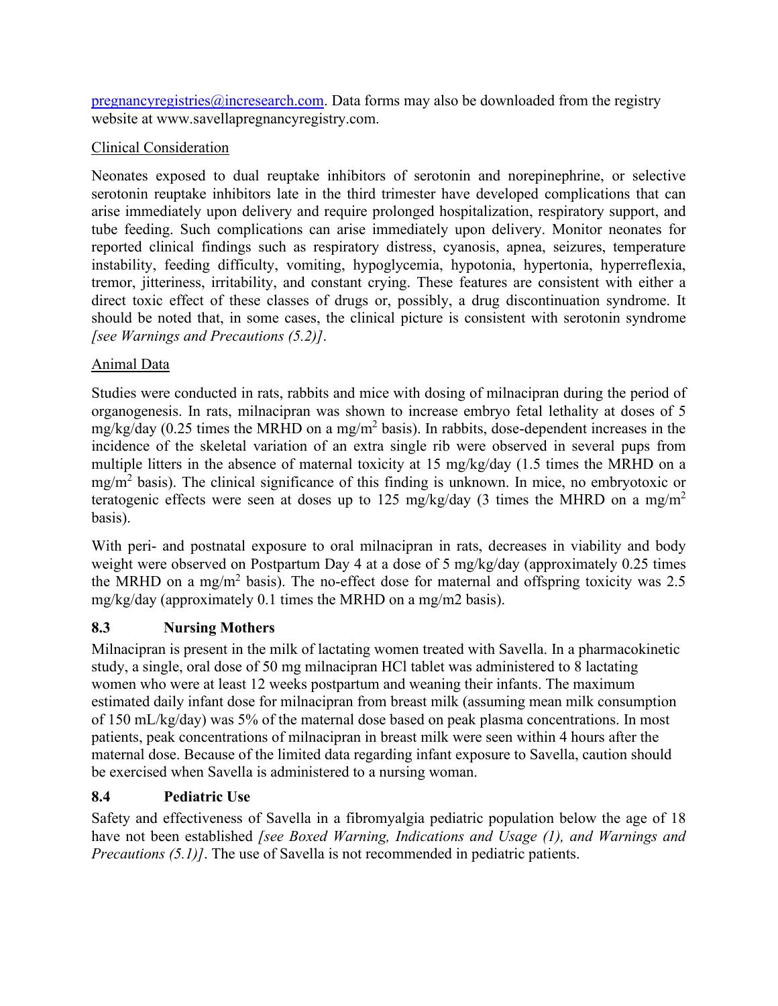[pregnancyregistries@incresearch.com.](mailto:pregnancyregistries@incresearch.com) Data forms may also be downloaded from the registry website at [www.savellapregnancyregistry.com.](http://www.savellapregnancyregistry.com/)

# Clinical Consideration

Neonates exposed to dual reuptake inhibitors of serotonin and norepinephrine, or selective serotonin reuptake inhibitors late in the third trimester have developed complications that can arise immediately upon delivery and require prolonged hospitalization, respiratory support, and tube feeding. Such complications can arise immediately upon delivery. Monitor neonates for reported clinical findings such as respiratory distress, cyanosis, apnea, seizures, temperature instability, feeding difficulty, vomiting, hypoglycemia, hypotonia, hypertonia, hyperreflexia, tremor, jitteriness, irritability, and constant crying. These features are consistent with either a direct toxic effect of these classes of drugs or, possibly, a drug discontinuation syndrome. It should be noted that, in some cases, the clinical picture is consistent with serotonin syndrome *[see Warnings and Precautions (5.2)]*.

# Animal Data

Studies were conducted in rats, rabbits and mice with dosing of milnacipran during the period of organogenesis. In rats, milnacipran was shown to increase embryo fetal lethality at doses of 5  $mg/kg/day$  (0.25 times the MRHD on a mg/m<sup>2</sup> basis). In rabbits, dose-dependent increases in the incidence of the skeletal variation of an extra single rib were observed in several pups from multiple litters in the absence of maternal toxicity at 15 mg/kg/day (1.5 times the MRHD on a  $mg/m<sup>2</sup>$  basis). The clinical significance of this finding is unknown. In mice, no embryotoxic or teratogenic effects were seen at doses up to 125 mg/kg/day (3 times the MHRD on a mg/m<sup>2</sup> basis).

With peri- and postnatal exposure to oral milnacipran in rats, decreases in viability and body weight were observed on Postpartum Day 4 at a dose of 5 mg/kg/day (approximately 0.25 times the MRHD on a mg/m<sup>2</sup> basis). The no-effect dose for maternal and offspring toxicity was 2.5 mg/kg/day (approximately 0.1 times the MRHD on a mg/m2 basis).

# <span id="page-17-0"></span>**8.3 Nursing Mothers**

Milnacipran is present in the milk of lactating women treated with Savella. In a pharmacokinetic study, a single, oral dose of 50 mg milnacipran HCl tablet was administered to 8 lactating women who were at least 12 weeks postpartum and weaning their infants. The maximum estimated daily infant dose for milnacipran from breast milk (assuming mean milk consumption of 150 mL/kg/day) was 5% of the maternal dose based on peak plasma concentrations. In most patients, peak concentrations of milnacipran in breast milk were seen within 4 hours after the maternal dose. Because of the limited data regarding infant exposure to Savella, caution should be exercised when Savella is administered to a nursing woman.

# <span id="page-17-1"></span>**8.4 Pediatric Use**

Safety and effectiveness of Savella in a fibromyalgia pediatric population below the age of 18 have not been established *[see Boxed Warning, Indications and Usage (1), and Warnings and Precautions (5.1)]*. The use of Savella is not recommended in pediatric patients.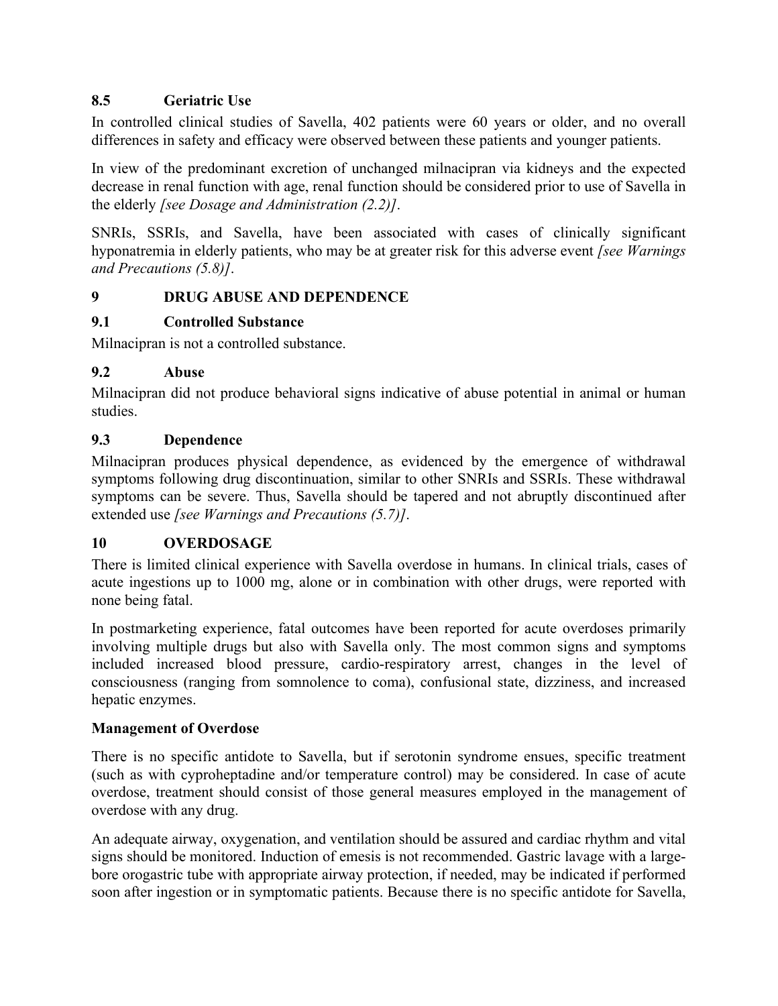## <span id="page-18-0"></span>**8.5 Geriatric Use**

In controlled clinical studies of Savella, 402 patients were 60 years or older, and no overall differences in safety and efficacy were observed between these patients and younger patients.

In view of the predominant excretion of unchanged milnacipran via kidneys and the expected decrease in renal function with age, renal function should be considered prior to use of Savella in the elderly *[see Dosage and Administration (2.2)]*.

SNRIs, SSRIs, and Savella, have been associated with cases of clinically significant hyponatremia in elderly patients, who may be at greater risk for this adverse event *[see Warnings and Precautions (5.8)]*.

## <span id="page-18-1"></span>**9 DRUG ABUSE AND DEPENDENCE**

## <span id="page-18-2"></span>**9.1 Controlled Substance**

Milnacipran is not a controlled substance.

## <span id="page-18-3"></span>**9.2 Abuse**

Milnacipran did not produce behavioral signs indicative of abuse potential in animal or human studies.

## <span id="page-18-4"></span>**9.3 Dependence**

Milnacipran produces physical dependence, as evidenced by the emergence of withdrawal symptoms following drug discontinuation, similar to other SNRIs and SSRIs. These withdrawal symptoms can be severe. Thus, Savella should be tapered and not abruptly discontinued after extended use *[see Warnings and Precautions (5.7)]*.

#### <span id="page-18-5"></span>**10 OVERDOSAGE**

There is limited clinical experience with Savella overdose in humans. In clinical trials, cases of acute ingestions up to 1000 mg, alone or in combination with other drugs, were reported with none being fatal.

In postmarketing experience, fatal outcomes have been reported for acute overdoses primarily involving multiple drugs but also with Savella only. The most common signs and symptoms included increased blood pressure, cardio-respiratory arrest, changes in the level of consciousness (ranging from somnolence to coma), confusional state, dizziness, and increased hepatic enzymes.

#### **Management of Overdose**

There is no specific antidote to Savella, but if serotonin syndrome ensues, specific treatment (such as with cyproheptadine and/or temperature control) may be considered. In case of acute overdose, treatment should consist of those general measures employed in the management of overdose with any drug.

An adequate airway, oxygenation, and ventilation should be assured and cardiac rhythm and vital signs should be monitored. Induction of emesis is not recommended. Gastric lavage with a largebore orogastric tube with appropriate airway protection, if needed, may be indicated if performed soon after ingestion or in symptomatic patients. Because there is no specific antidote for Savella,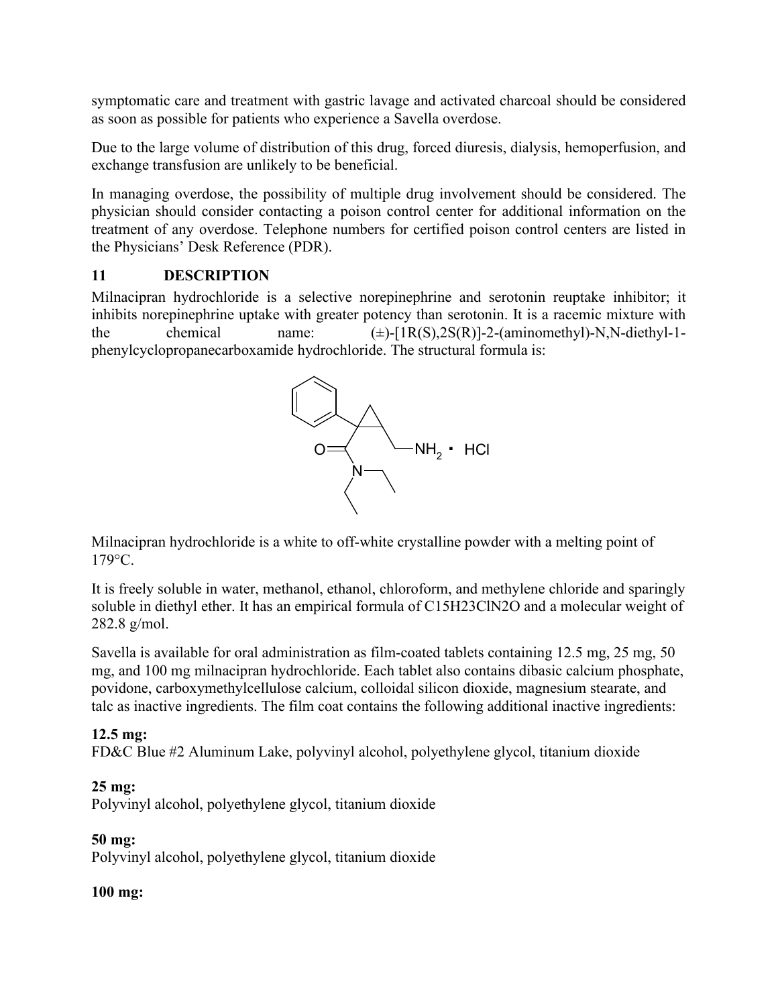symptomatic care and treatment with gastric lavage and activated charcoal should be considered as soon as possible for patients who experience a Savella overdose.

Due to the large volume of distribution of this drug, forced diuresis, dialysis, hemoperfusion, and exchange transfusion are unlikely to be beneficial.

In managing overdose, the possibility of multiple drug involvement should be considered. The physician should consider contacting a poison control center for additional information on the treatment of any overdose. Telephone numbers for certified poison control centers are listed in the Physicians' Desk Reference (PDR).

## <span id="page-19-0"></span>**11 DESCRIPTION**

Milnacipran hydrochloride is a selective norepinephrine and serotonin reuptake inhibitor; it inhibits norepinephrine uptake with greater potency than serotonin. It is a racemic mixture with the chemical name:  $(\pm)$ -[1R(S),2S(R)]-2-(aminomethyl)-N,N-diethyl-1phenylcyclopropanecarboxamide hydrochloride. The structural formula is:



Milnacipran hydrochloride is a white to off-white crystalline powder with a melting point of 179°C.

It is freely soluble in water, methanol, ethanol, chloroform, and methylene chloride and sparingly soluble in diethyl ether. It has an empirical formula of C15H23ClN2O and a molecular weight of 282.8 g/mol.

Savella is available for oral administration as film-coated tablets containing 12.5 mg, 25 mg, 50 mg, and 100 mg milnacipran hydrochloride. Each tablet also contains dibasic calcium phosphate, povidone, carboxymethylcellulose calcium, colloidal silicon dioxide, magnesium stearate, and talc as inactive ingredients. The film coat contains the following additional inactive ingredients:

## **12.5 mg:**

FD&C Blue #2 Aluminum Lake, polyvinyl alcohol, polyethylene glycol, titanium dioxide

## **25 mg:**

Polyvinyl alcohol, polyethylene glycol, titanium dioxide

## **50 mg:**

Polyvinyl alcohol, polyethylene glycol, titanium dioxide

## **100 mg:**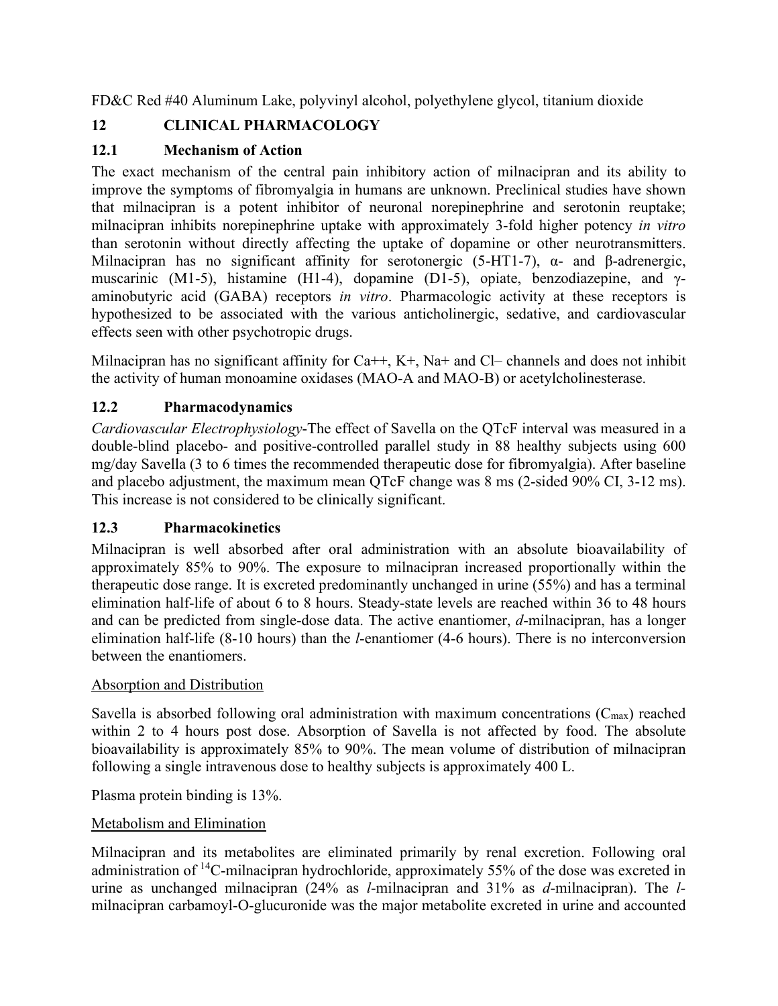FD&C Red #40 Aluminum Lake, polyvinyl alcohol, polyethylene glycol, titanium dioxide

# <span id="page-20-0"></span>**12 CLINICAL PHARMACOLOGY**

# <span id="page-20-1"></span>**12.1 Mechanism of Action**

The exact mechanism of the central pain inhibitory action of milnacipran and its ability to improve the symptoms of fibromyalgia in humans are unknown. Preclinical studies have shown that milnacipran is a potent inhibitor of neuronal norepinephrine and serotonin reuptake; milnacipran inhibits norepinephrine uptake with approximately 3-fold higher potency *in vitro* than serotonin without directly affecting the uptake of dopamine or other neurotransmitters. Milnacipran has no significant affinity for serotonergic (5-HT1-7),  $\alpha$ - and β-adrenergic, muscarinic (M1-5), histamine (H1-4), dopamine (D1-5), opiate, benzodiazepine, and γaminobutyric acid (GABA) receptors *in vitro*. Pharmacologic activity at these receptors is hypothesized to be associated with the various anticholinergic, sedative, and cardiovascular effects seen with other psychotropic drugs.

Milnacipran has no significant affinity for  $Ca++$ ,  $K^+$ ,  $Na^+$  and  $Cl-$  channels and does not inhibit the activity of human monoamine oxidases (MAO-A and MAO-B) or acetylcholinesterase.

## <span id="page-20-2"></span>**12.2 Pharmacodynamics**

*Cardiovascular Electrophysiology*-The effect of Savella on the QTcF interval was measured in a double-blind placebo- and positive-controlled parallel study in 88 healthy subjects using 600 mg/day Savella (3 to 6 times the recommended therapeutic dose for fibromyalgia). After baseline and placebo adjustment, the maximum mean QTcF change was 8 ms (2-sided 90% CI, 3-12 ms). This increase is not considered to be clinically significant.

## <span id="page-20-3"></span>**12.3 Pharmacokinetics**

Milnacipran is well absorbed after oral administration with an absolute bioavailability of approximately 85% to 90%. The exposure to milnacipran increased proportionally within the therapeutic dose range. It is excreted predominantly unchanged in urine (55%) and has a terminal elimination half-life of about 6 to 8 hours. Steady-state levels are reached within 36 to 48 hours and can be predicted from single-dose data. The active enantiomer, *d*-milnacipran, has a longer elimination half-life (8-10 hours) than the *l*-enantiomer (4-6 hours). There is no interconversion between the enantiomers.

#### Absorption and Distribution

Savella is absorbed following oral administration with maximum concentrations  $(C_{\text{max}})$  reached within 2 to 4 hours post dose. Absorption of Savella is not affected by food. The absolute bioavailability is approximately 85% to 90%. The mean volume of distribution of milnacipran following a single intravenous dose to healthy subjects is approximately 400 L.

Plasma protein binding is 13%.

## Metabolism and Elimination

Milnacipran and its metabolites are eliminated primarily by renal excretion. Following oral administration of <sup>14</sup>C-milnacipran hydrochloride, approximately 55% of the dose was excreted in urine as unchanged milnacipran (24% as *l*-milnacipran and 31% as *d*-milnacipran). The *l*milnacipran carbamoyl-O-glucuronide was the major metabolite excreted in urine and accounted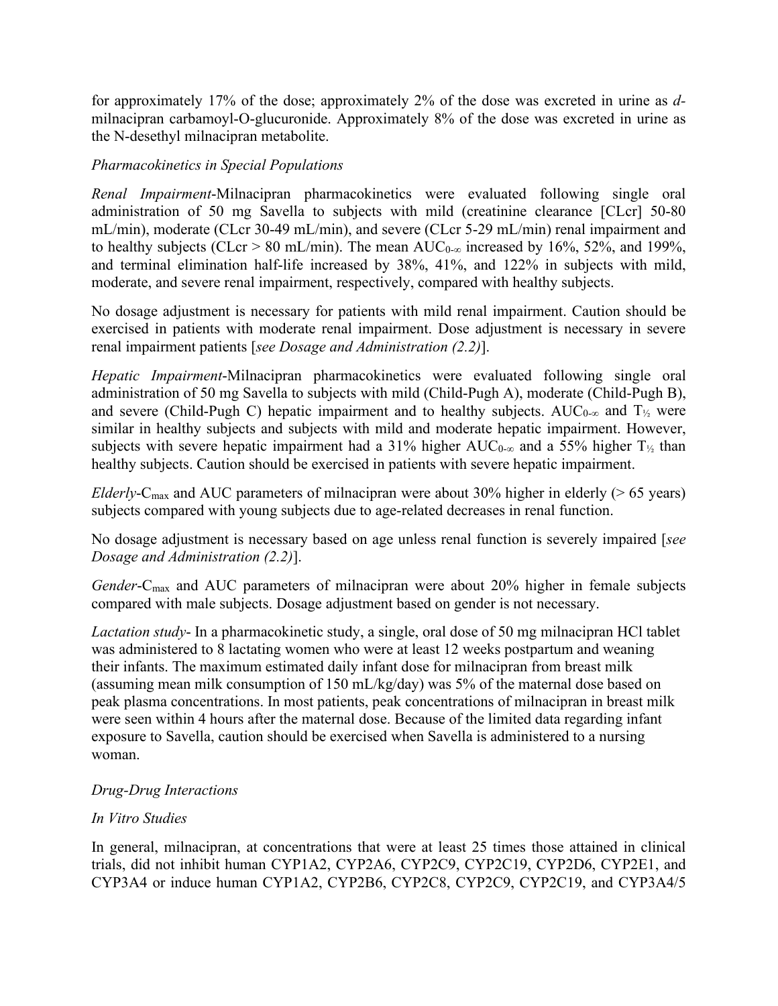for approximately 17% of the dose; approximately 2% of the dose was excreted in urine as *d*milnacipran carbamoyl-O-glucuronide. Approximately 8% of the dose was excreted in urine as the N-desethyl milnacipran metabolite.

#### *Pharmacokinetics in Special Populations*

*Renal Impairment*-Milnacipran pharmacokinetics were evaluated following single oral administration of 50 mg Savella to subjects with mild (creatinine clearance [CLcr] 50-80 mL/min), moderate (CLcr 30-49 mL/min), and severe (CLcr 5-29 mL/min) renal impairment and to healthy subjects (CLcr > 80 mL/min). The mean  $AUC_{0-\infty}$  increased by 16%, 52%, and 199%, and terminal elimination half-life increased by 38%, 41%, and 122% in subjects with mild, moderate, and severe renal impairment, respectively, compared with healthy subjects.

No dosage adjustment is necessary for patients with mild renal impairment. Caution should be exercised in patients with moderate renal impairment. Dose adjustment is necessary in severe renal impairment patients [*see Dosage and Administration (2.2)*].

*Hepatic Impairment*-Milnacipran pharmacokinetics were evaluated following single oral administration of 50 mg Savella to subjects with mild (Child-Pugh A), moderate (Child-Pugh B), and severe (Child-Pugh C) hepatic impairment and to healthy subjects. AUC<sub>0-∞</sub> and T<sub>1/2</sub> were similar in healthy subjects and subjects with mild and moderate hepatic impairment. However, subjects with severe hepatic impairment had a 31% higher  $AUC_{0-\infty}$  and a 55% higher T<sub>1/2</sub> than healthy subjects. Caution should be exercised in patients with severe hepatic impairment.

*Elderly*-C<sub>max</sub> and AUC parameters of milnacipran were about 30% higher in elderly ( $> 65$  years) subjects compared with young subjects due to age-related decreases in renal function.

No dosage adjustment is necessary based on age unless renal function is severely impaired [*see Dosage and Administration (2.2)*].

*Gender*-Cmax and AUC parameters of milnacipran were about 20% higher in female subjects compared with male subjects. Dosage adjustment based on gender is not necessary.

*Lactation study*- In a pharmacokinetic study, a single, oral dose of 50 mg milnacipran HCl tablet was administered to 8 lactating women who were at least 12 weeks postpartum and weaning their infants. The maximum estimated daily infant dose for milnacipran from breast milk (assuming mean milk consumption of 150 mL/kg/day) was 5% of the maternal dose based on peak plasma concentrations. In most patients, peak concentrations of milnacipran in breast milk were seen within 4 hours after the maternal dose. Because of the limited data regarding infant exposure to Savella, caution should be exercised when Savella is administered to a nursing woman.

#### *Drug-Drug Interactions*

#### *In Vitro Studies*

In general, milnacipran, at concentrations that were at least 25 times those attained in clinical trials, did not inhibit human CYP1A2, CYP2A6, CYP2C9, CYP2C19, CYP2D6, CYP2E1, and CYP3A4 or induce human CYP1A2, CYP2B6, CYP2C8, CYP2C9, CYP2C19, and CYP3A4/5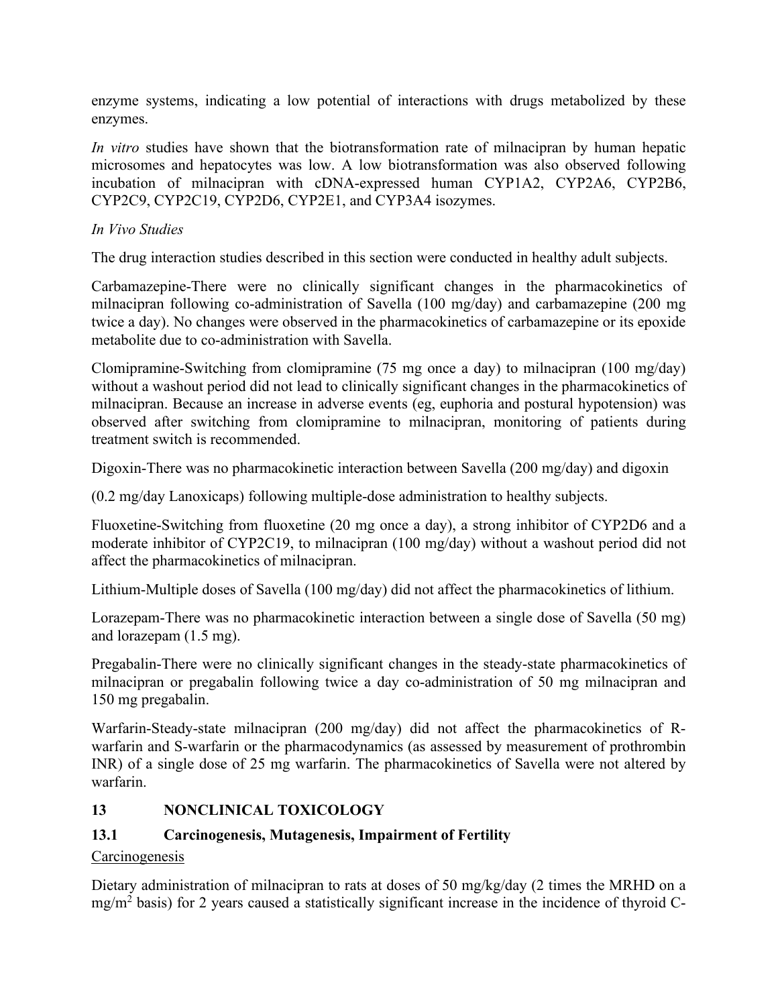enzyme systems, indicating a low potential of interactions with drugs metabolized by these enzymes.

*In vitro* studies have shown that the biotransformation rate of milnacipran by human hepatic microsomes and hepatocytes was low. A low biotransformation was also observed following incubation of milnacipran with cDNA-expressed human CYP1A2, CYP2A6, CYP2B6, CYP2C9, CYP2C19, CYP2D6, CYP2E1, and CYP3A4 isozymes.

### *In Vivo Studies*

The drug interaction studies described in this section were conducted in healthy adult subjects.

Carbamazepine-There were no clinically significant changes in the pharmacokinetics of milnacipran following co-administration of Savella (100 mg/day) and carbamazepine (200 mg twice a day). No changes were observed in the pharmacokinetics of carbamazepine or its epoxide metabolite due to co-administration with Savella.

Clomipramine-Switching from clomipramine (75 mg once a day) to milnacipran (100 mg/day) without a washout period did not lead to clinically significant changes in the pharmacokinetics of milnacipran. Because an increase in adverse events (eg, euphoria and postural hypotension) was observed after switching from clomipramine to milnacipran, monitoring of patients during treatment switch is recommended.

Digoxin-There was no pharmacokinetic interaction between Savella (200 mg/day) and digoxin

(0.2 mg/day Lanoxicaps) following multiple-dose administration to healthy subjects.

Fluoxetine-Switching from fluoxetine (20 mg once a day), a strong inhibitor of CYP2D6 and a moderate inhibitor of CYP2C19, to milnacipran (100 mg/day) without a washout period did not affect the pharmacokinetics of milnacipran.

Lithium-Multiple doses of Savella (100 mg/day) did not affect the pharmacokinetics of lithium.

Lorazepam-There was no pharmacokinetic interaction between a single dose of Savella (50 mg) and lorazepam (1.5 mg).

Pregabalin-There were no clinically significant changes in the steady-state pharmacokinetics of milnacipran or pregabalin following twice a day co-administration of 50 mg milnacipran and 150 mg pregabalin.

Warfarin-Steady-state milnacipran (200 mg/day) did not affect the pharmacokinetics of Rwarfarin and S-warfarin or the pharmacodynamics (as assessed by measurement of prothrombin INR) of a single dose of 25 mg warfarin. The pharmacokinetics of Savella were not altered by warfarin.

## <span id="page-22-0"></span>**13 NONCLINICAL TOXICOLOGY**

## <span id="page-22-1"></span>**13.1 Carcinogenesis, Mutagenesis, Impairment of Fertility**

## Carcinogenesis

Dietary administration of milnacipran to rats at doses of 50 mg/kg/day (2 times the MRHD on a  $mg/m<sup>2</sup>$  basis) for 2 years caused a statistically significant increase in the incidence of thyroid C-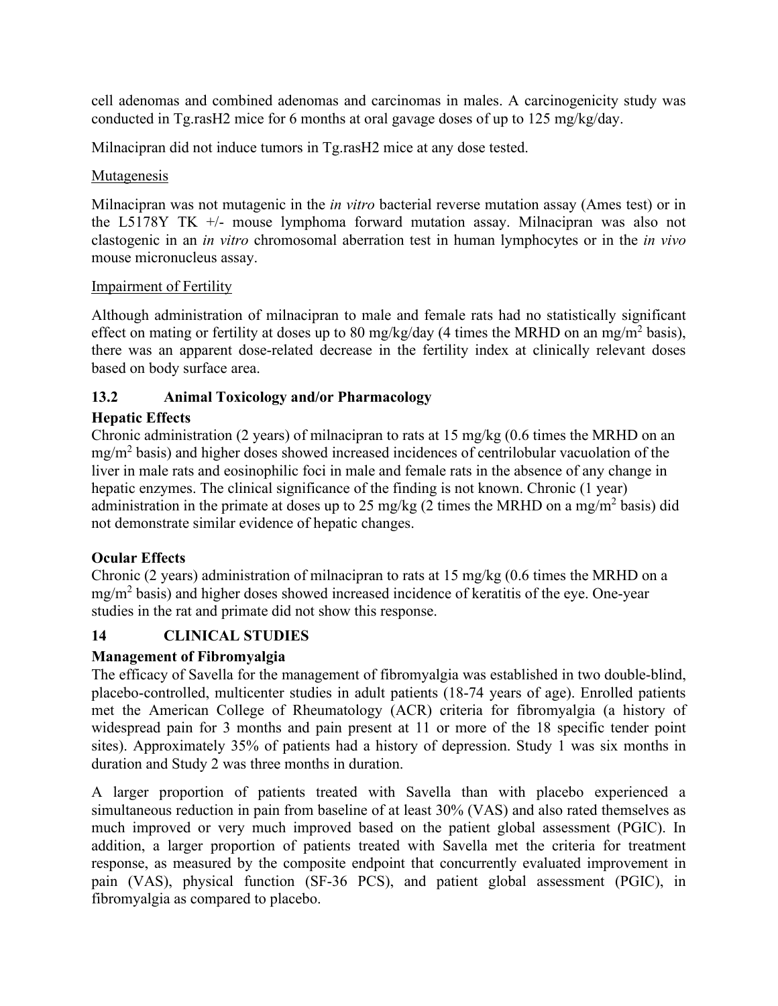cell adenomas and combined adenomas and carcinomas in males. A carcinogenicity study was conducted in Tg.rasH2 mice for 6 months at oral gavage doses of up to 125 mg/kg/day.

Milnacipran did not induce tumors in Tg.rasH2 mice at any dose tested.

### Mutagenesis

Milnacipran was not mutagenic in the *in vitro* bacterial reverse mutation assay (Ames test) or in the L5178Y TK +/- mouse lymphoma forward mutation assay. Milnacipran was also not clastogenic in an *in vitro* chromosomal aberration test in human lymphocytes or in the *in vivo* mouse micronucleus assay.

## Impairment of Fertility

Although administration of milnacipran to male and female rats had no statistically significant effect on mating or fertility at doses up to 80 mg/kg/day (4 times the MRHD on an mg/m<sup>2</sup> basis), there was an apparent dose-related decrease in the fertility index at clinically relevant doses based on body surface area.

## <span id="page-23-0"></span>**13.2 Animal Toxicology and/or Pharmacology**

## **Hepatic Effects**

Chronic administration (2 years) of milnacipran to rats at  $15 \text{ mg/kg}$  (0.6 times the MRHD on an  $mg/m<sup>2</sup>$  basis) and higher doses showed increased incidences of centrilobular vacuolation of the liver in male rats and eosinophilic foci in male and female rats in the absence of any change in hepatic enzymes. The clinical significance of the finding is not known. Chronic (1 year) administration in the primate at doses up to 25 mg/kg (2 times the MRHD on a mg/m<sup>2</sup> basis) did not demonstrate similar evidence of hepatic changes.

## **Ocular Effects**

Chronic (2 years) administration of milnacipran to rats at 15 mg/kg (0.6 times the MRHD on a mg/m<sup>2</sup> basis) and higher doses showed increased incidence of keratitis of the eye. One-year studies in the rat and primate did not show this response.

## <span id="page-23-1"></span>**14 CLINICAL STUDIES**

## **Management of Fibromyalgia**

The efficacy of Savella for the management of fibromyalgia was established in two double-blind, placebo-controlled, multicenter studies in adult patients (18-74 years of age). Enrolled patients met the American College of Rheumatology (ACR) criteria for fibromyalgia (a history of widespread pain for 3 months and pain present at 11 or more of the 18 specific tender point sites). Approximately 35% of patients had a history of depression. Study 1 was six months in duration and Study 2 was three months in duration.

A larger proportion of patients treated with Savella than with placebo experienced a simultaneous reduction in pain from baseline of at least 30% (VAS) and also rated themselves as much improved or very much improved based on the patient global assessment (PGIC). In addition, a larger proportion of patients treated with Savella met the criteria for treatment response, as measured by the composite endpoint that concurrently evaluated improvement in pain (VAS), physical function (SF-36 PCS), and patient global assessment (PGIC), in fibromyalgia as compared to placebo.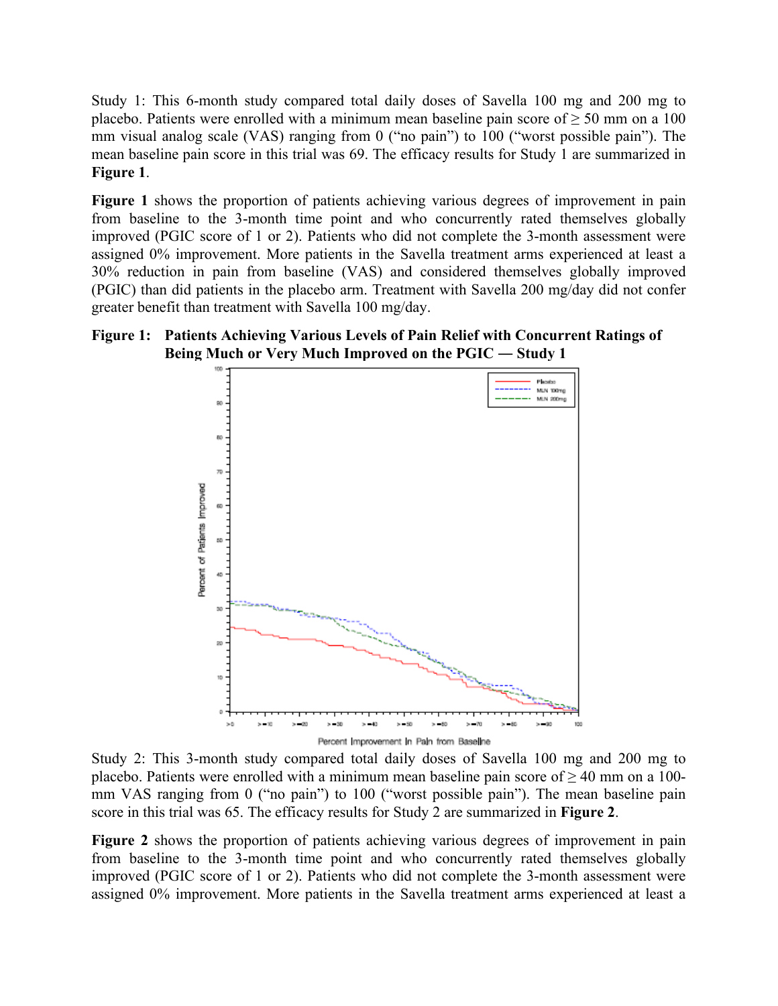Study 1: This 6-month study compared total daily doses of Savella 100 mg and 200 mg to placebo. Patients were enrolled with a minimum mean baseline pain score of  $\geq 50$  mm on a 100 mm visual analog scale (VAS) ranging from 0 ("no pain") to 100 ("worst possible pain"). The mean baseline pain score in this trial was 69. The efficacy results for Study 1 are summarized in **Figure 1**.

**Figure 1** shows the proportion of patients achieving various degrees of improvement in pain from baseline to the 3-month time point and who concurrently rated themselves globally improved (PGIC score of 1 or 2). Patients who did not complete the 3-month assessment were assigned 0% improvement. More patients in the Savella treatment arms experienced at least a 30% reduction in pain from baseline (VAS) and considered themselves globally improved (PGIC) than did patients in the placebo arm. Treatment with Savella 200 mg/day did not confer greater benefit than treatment with Savella 100 mg/day.

#### **Figure 1: Patients Achieving Various Levels of Pain Relief with Concurrent Ratings of Being Much or Very Much Improved on the PGIC ― Study 1**



Study 2: This 3-month study compared total daily doses of Savella 100 mg and 200 mg to placebo. Patients were enrolled with a minimum mean baseline pain score of ≥ 40 mm on a 100 mm VAS ranging from 0 ("no pain") to 100 ("worst possible pain"). The mean baseline pain score in this trial was 65. The efficacy results for Study 2 are summarized in **Figure 2**.

**Figure 2** shows the proportion of patients achieving various degrees of improvement in pain from baseline to the 3-month time point and who concurrently rated themselves globally improved (PGIC score of 1 or 2). Patients who did not complete the 3-month assessment were assigned 0% improvement. More patients in the Savella treatment arms experienced at least a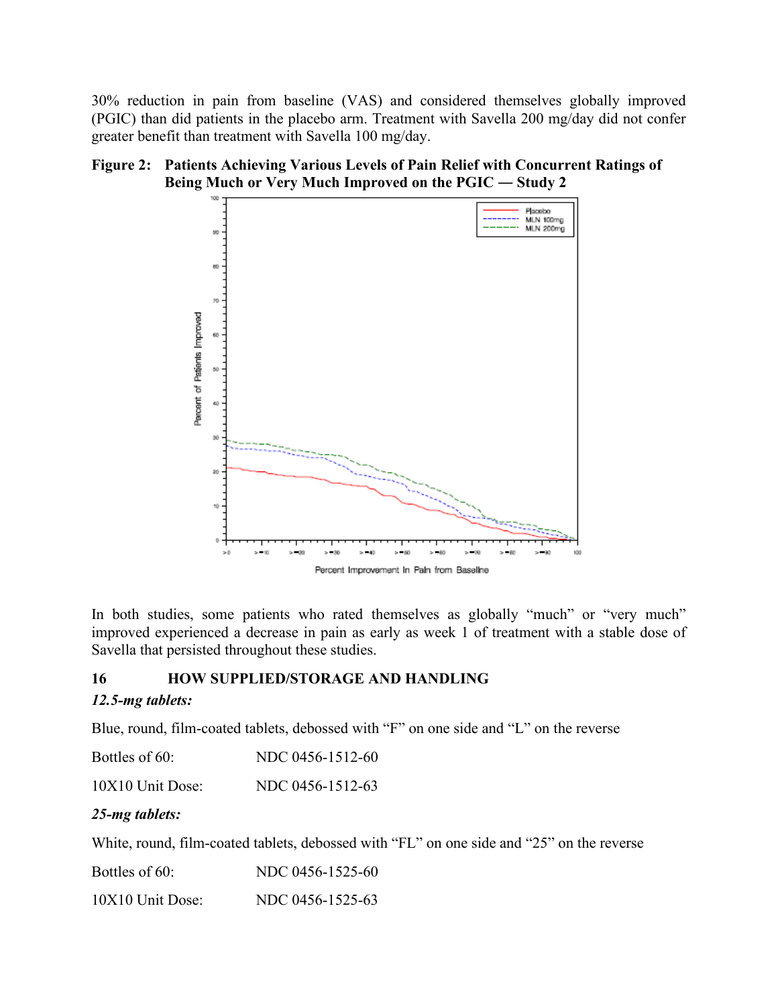30% reduction in pain from baseline (VAS) and considered themselves globally improved (PGIC) than did patients in the placebo arm. Treatment with Savella 200 mg/day did not confer greater benefit than treatment with Savella 100 mg/day.



## **Figure 2: Patients Achieving Various Levels of Pain Relief with Concurrent Ratings of Being Much or Very Much Improved on the PGIC ― Study 2**

In both studies, some patients who rated themselves as globally "much" or "very much" improved experienced a decrease in pain as early as week 1 of treatment with a stable dose of Savella that persisted throughout these studies.

#### <span id="page-25-0"></span>**16 HOW SUPPLIED/STORAGE AND HANDLING**

#### *12.5-mg tablets:*

Blue, round, film-coated tablets, debossed with "F" on one side and "L" on the reverse

| Bottles of 60:     | NDC 0456-1512-60 |
|--------------------|------------------|
| $10X10$ Unit Dose: | NDC 0456-1512-63 |

#### *25-mg tablets:*

White, round, film-coated tablets, debossed with "FL" on one side and "25" on the reverse

Bottles of 60: NDC 0456-1525-60 10X10 Unit Dose: NDC 0456-1525-63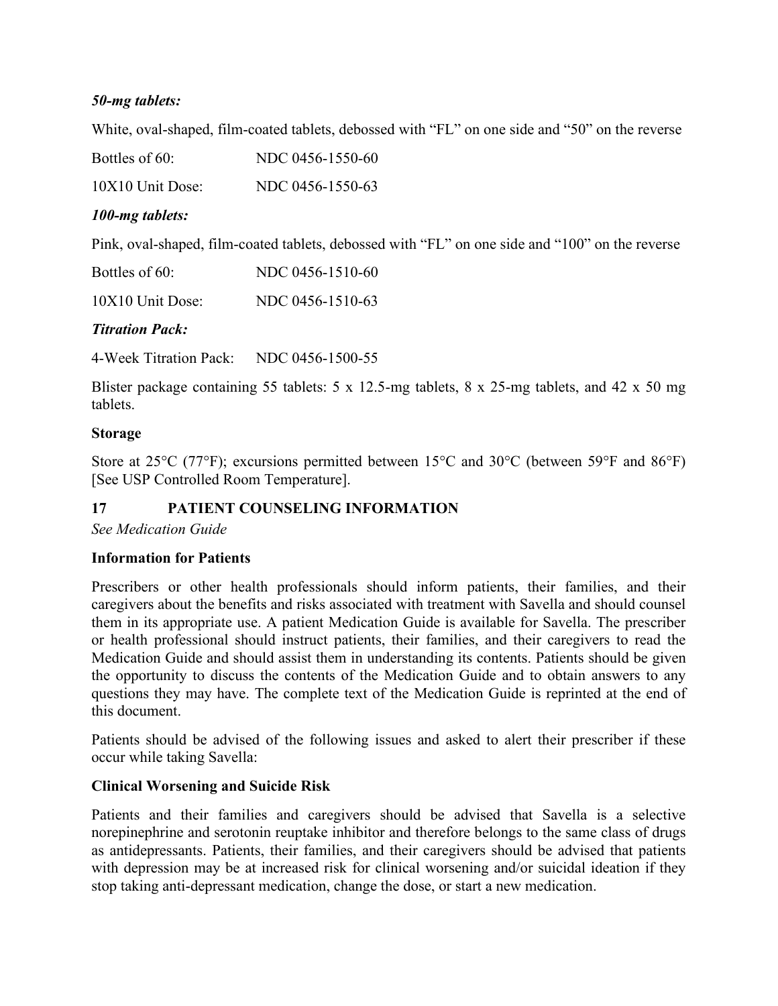### *50-mg tablets:*

White, oval-shaped, film-coated tablets, debossed with "FL" on one side and "50" on the reverse

Bottles of 60: NDC 0456-1550-60

10X10 Unit Dose: NDC 0456-1550-63

### *100-mg tablets:*

Pink, oval-shaped, film-coated tablets, debossed with "FL" on one side and "100" on the reverse

| Bottles of 60:   | NDC 0456-1510-60 |
|------------------|------------------|
| 10X10 Unit Dose: | NDC 0456-1510-63 |

#### *Titration Pack:*

4-Week Titration Pack: NDC 0456-1500-55

Blister package containing 55 tablets: 5 x 12.5-mg tablets, 8 x 25-mg tablets, and 42 x 50 mg tablets.

#### **Storage**

Store at 25<sup>o</sup>C (77<sup>o</sup>F); excursions permitted between 15<sup>o</sup>C and 30<sup>o</sup>C (between 59<sup>o</sup>F and 86<sup>o</sup>F) [See USP Controlled Room Temperature].

## <span id="page-26-0"></span>**17 PATIENT COUNSELING INFORMATION**

*See Medication Guide*

#### **Information for Patients**

Prescribers or other health professionals should inform patients, their families, and their caregivers about the benefits and risks associated with treatment with Savella and should counsel them in its appropriate use. A patient Medication Guide is available for Savella. The prescriber or health professional should instruct patients, their families, and their caregivers to read the Medication Guide and should assist them in understanding its contents. Patients should be given the opportunity to discuss the contents of the Medication Guide and to obtain answers to any questions they may have. The complete text of the Medication Guide is reprinted at the end of this document.

Patients should be advised of the following issues and asked to alert their prescriber if these occur while taking Savella:

#### **Clinical Worsening and Suicide Risk**

Patients and their families and caregivers should be advised that Savella is a selective norepinephrine and serotonin reuptake inhibitor and therefore belongs to the same class of drugs as antidepressants. Patients, their families, and their caregivers should be advised that patients with depression may be at increased risk for clinical worsening and/or suicidal ideation if they stop taking anti-depressant medication, change the dose, or start a new medication.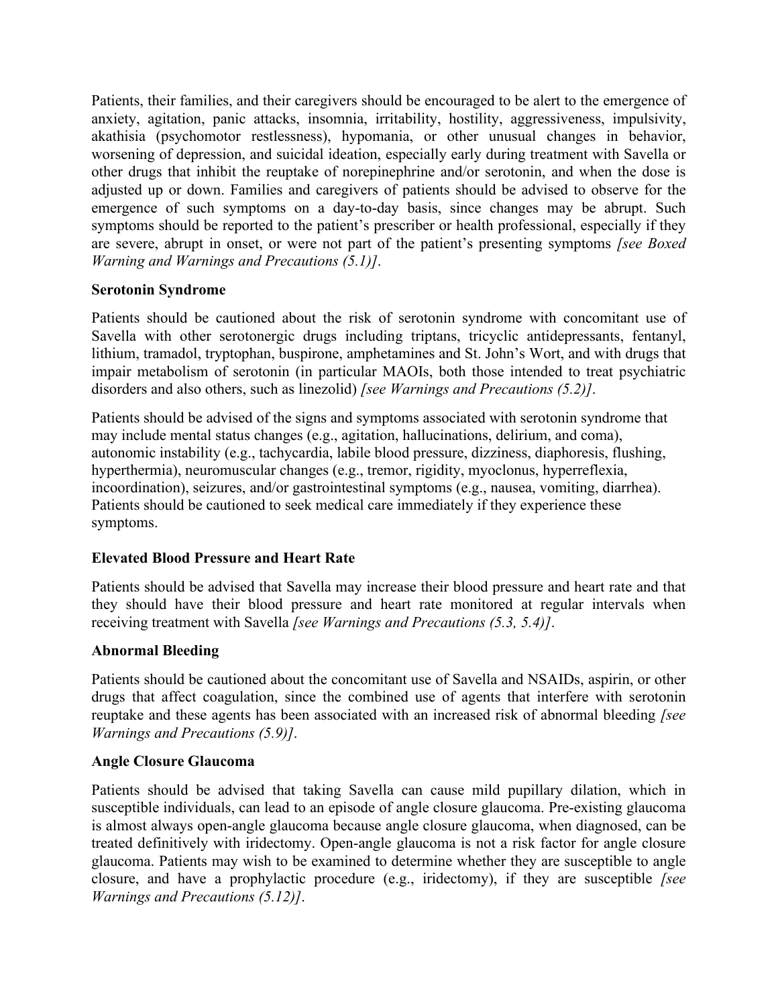Patients, their families, and their caregivers should be encouraged to be alert to the emergence of anxiety, agitation, panic attacks, insomnia, irritability, hostility, aggressiveness, impulsivity, akathisia (psychomotor restlessness), hypomania, or other unusual changes in behavior, worsening of depression, and suicidal ideation, especially early during treatment with Savella or other drugs that inhibit the reuptake of norepinephrine and/or serotonin, and when the dose is adjusted up or down. Families and caregivers of patients should be advised to observe for the emergence of such symptoms on a day-to-day basis, since changes may be abrupt. Such symptoms should be reported to the patient's prescriber or health professional, especially if they are severe, abrupt in onset, or were not part of the patient's presenting symptoms *[see Boxed Warning and Warnings and Precautions (5.1)]*.

#### **Serotonin Syndrome**

Patients should be cautioned about the risk of serotonin syndrome with concomitant use of Savella with other serotonergic drugs including triptans, tricyclic antidepressants, fentanyl, lithium, tramadol, tryptophan, buspirone, amphetamines and St. John's Wort, and with drugs that impair metabolism of serotonin (in particular MAOIs, both those intended to treat psychiatric disorders and also others, such as linezolid) *[see Warnings and Precautions (5.2)]*.

Patients should be advised of the signs and symptoms associated with serotonin syndrome that may include mental status changes (e.g., agitation, hallucinations, delirium, and coma), autonomic instability (e.g., tachycardia, labile blood pressure, dizziness, diaphoresis, flushing, hyperthermia), neuromuscular changes (e.g., tremor, rigidity, myoclonus, hyperreflexia, incoordination), seizures, and/or gastrointestinal symptoms (e.g., nausea, vomiting, diarrhea). Patients should be cautioned to seek medical care immediately if they experience these symptoms.

#### **Elevated Blood Pressure and Heart Rate**

Patients should be advised that Savella may increase their blood pressure and heart rate and that they should have their blood pressure and heart rate monitored at regular intervals when receiving treatment with Savella *[see Warnings and Precautions (5.3, 5.4)]*.

#### **Abnormal Bleeding**

Patients should be cautioned about the concomitant use of Savella and NSAIDs, aspirin, or other drugs that affect coagulation, since the combined use of agents that interfere with serotonin reuptake and these agents has been associated with an increased risk of abnormal bleeding *[see Warnings and Precautions (5.9)]*.

#### **Angle Closure Glaucoma**

Patients should be advised that taking Savella can cause mild pupillary dilation, which in susceptible individuals, can lead to an episode of angle closure glaucoma. Pre-existing glaucoma is almost always open-angle glaucoma because angle closure glaucoma, when diagnosed, can be treated definitively with iridectomy. Open-angle glaucoma is not a risk factor for angle closure glaucoma. Patients may wish to be examined to determine whether they are susceptible to angle closure, and have a prophylactic procedure (e.g., iridectomy), if they are susceptible *[see Warnings and Precautions (5.12)]*.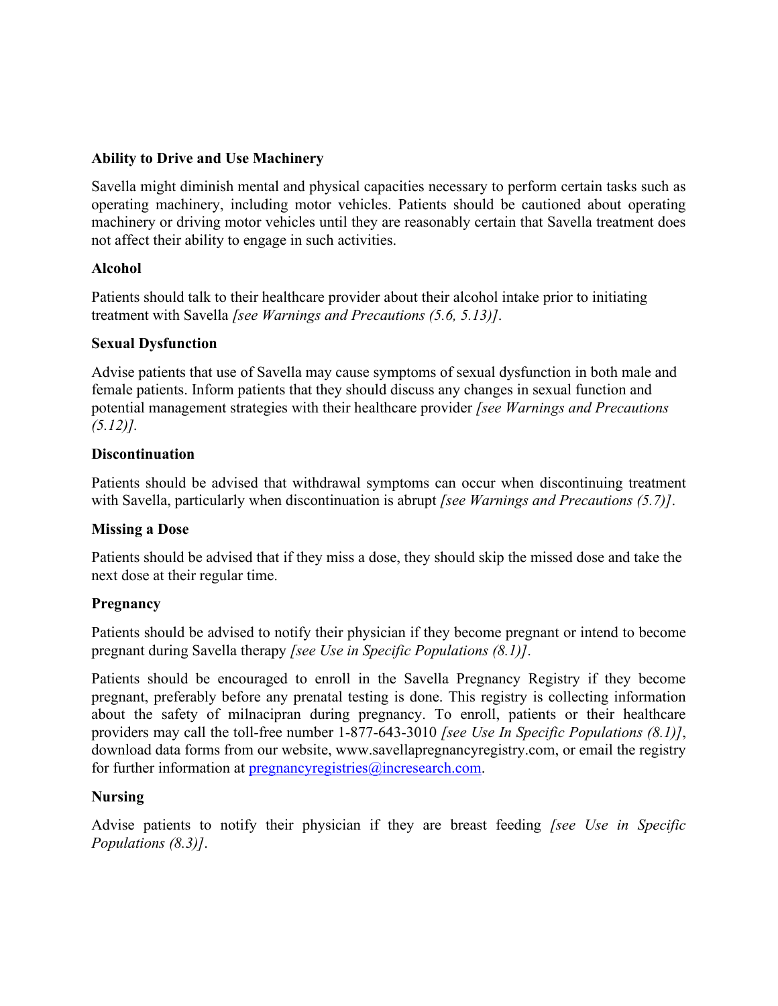#### **Ability to Drive and Use Machinery**

Savella might diminish mental and physical capacities necessary to perform certain tasks such as operating machinery, including motor vehicles. Patients should be cautioned about operating machinery or driving motor vehicles until they are reasonably certain that Savella treatment does not affect their ability to engage in such activities.

#### **Alcohol**

Patients should talk to their healthcare provider about their alcohol intake prior to initiating treatment with Savella *[see Warnings and Precautions (5.6, 5.13)]*.

#### **Sexual Dysfunction**

Advise patients that use of Savella may cause symptoms of sexual dysfunction in both male and female patients. Inform patients that they should discuss any changes in sexual function and potential management strategies with their healthcare provider *[see Warnings and Precautions (5.12)].*

#### **Discontinuation**

Patients should be advised that withdrawal symptoms can occur when discontinuing treatment with Savella, particularly when discontinuation is abrupt *[see Warnings and Precautions (5.7)]*.

#### **Missing a Dose**

Patients should be advised that if they miss a dose, they should skip the missed dose and take the next dose at their regular time.

#### **Pregnancy**

Patients should be advised to notify their physician if they become pregnant or intend to become pregnant during Savella therapy *[see Use in Specific Populations (8.1)]*.

Patients should be encouraged to enroll in the Savella Pregnancy Registry if they become pregnant, preferably before any prenatal testing is done. This registry is collecting information about the safety of milnacipran during pregnancy. To enroll, patients or their healthcare providers may call the toll-free number 1-877-643-3010 *[see Use In Specific Populations (8.1)]*, download data forms from our website, www.savellapregnancyregistry.com, or email the registry for further information at pregnancy registries  $\omega$  incresearch.com.

#### **Nursing**

Advise patients to notify their physician if they are breast feeding *[see Use in Specific Populations (8.3)]*.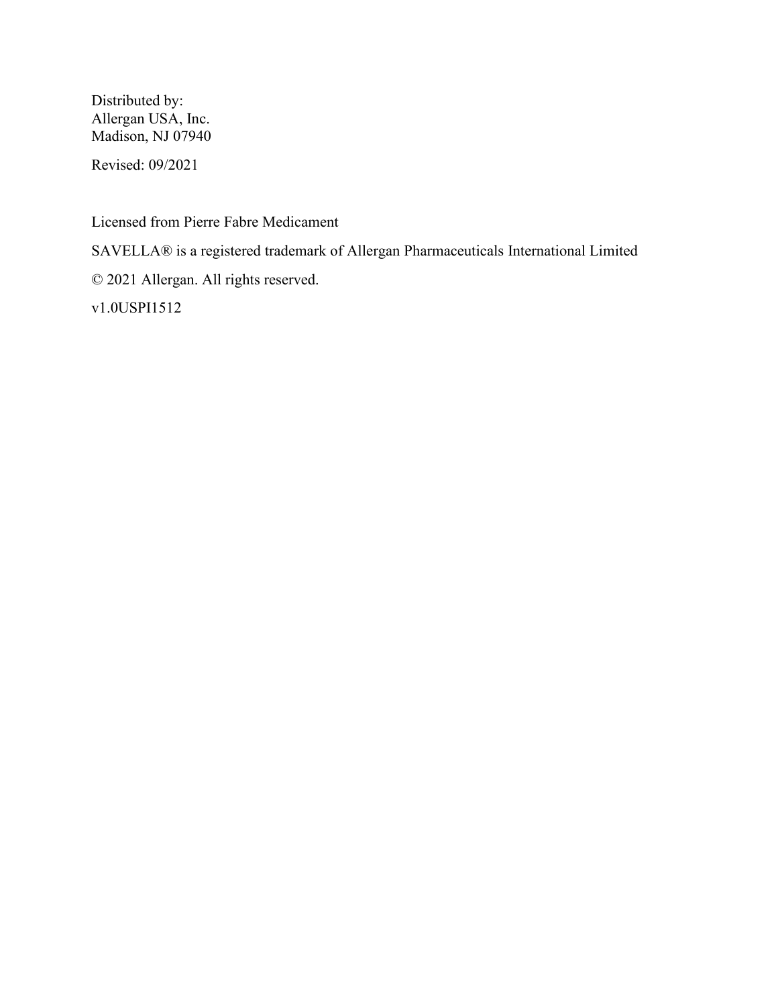Distributed by: Allergan USA, Inc. Madison, NJ 07940

Revised: 09/2021

Licensed from Pierre Fabre Medicament

SAVELLA® is a registered trademark of Allergan Pharmaceuticals International Limited

© 2021 Allergan. All rights reserved.

v1.0USPI1512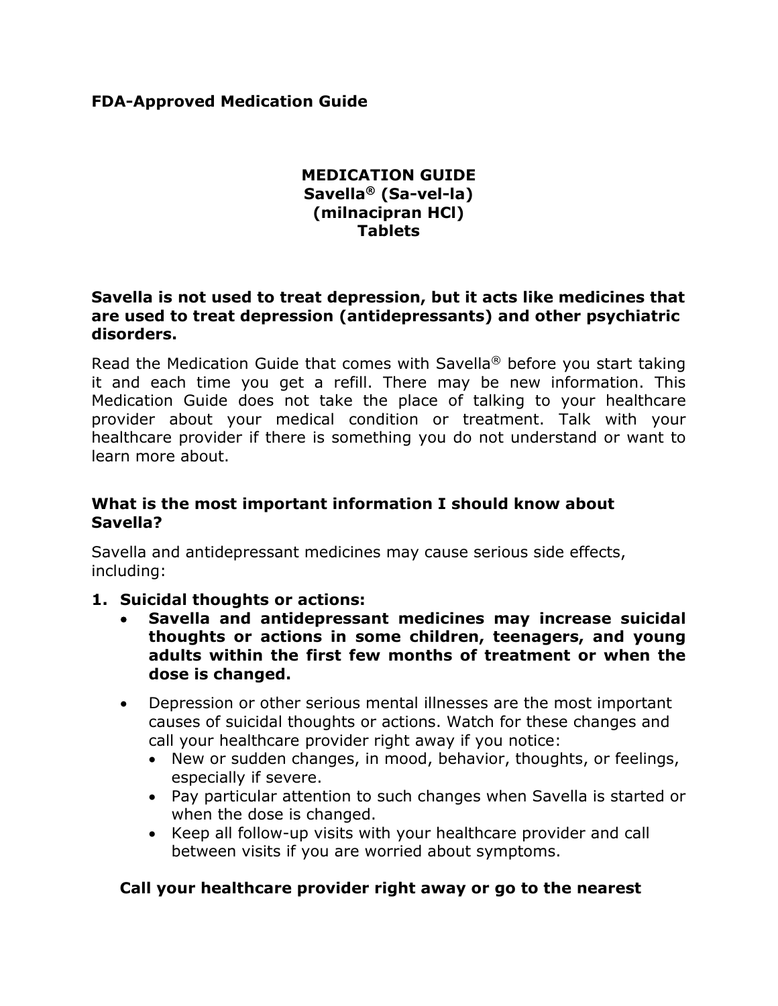## **FDA-Approved Medication Guide**

## **MEDICATION GUIDE Savella® (Sa-vel-la) (milnacipran HCl) Tablets**

## **Savella is not used to treat depression, but it acts like medicines that are used to treat depression (antidepressants) and other psychiatric disorders.**

Read the Medication Guide that comes with Savella® before you start taking it and each time you get a refill. There may be new information. This Medication Guide does not take the place of talking to your healthcare provider about your medical condition or treatment. Talk with your healthcare provider if there is something you do not understand or want to learn more about.

## **What is the most important information I should know about Savella?**

Savella and antidepressant medicines may cause serious side effects, including:

## **1. Suicidal thoughts or actions:**

- **Savella and antidepressant medicines may increase suicidal thoughts or actions in some children, teenagers, and young adults within the first few months of treatment or when the dose is changed.**
- Depression or other serious mental illnesses are the most important causes of suicidal thoughts or actions. Watch for these changes and call your healthcare provider right away if you notice:
	- New or sudden changes, in mood, behavior, thoughts, or feelings, especially if severe.
	- Pay particular attention to such changes when Savella is started or when the dose is changed.
	- Keep all follow-up visits with your healthcare provider and call between visits if you are worried about symptoms.

# **Call your healthcare provider right away or go to the nearest**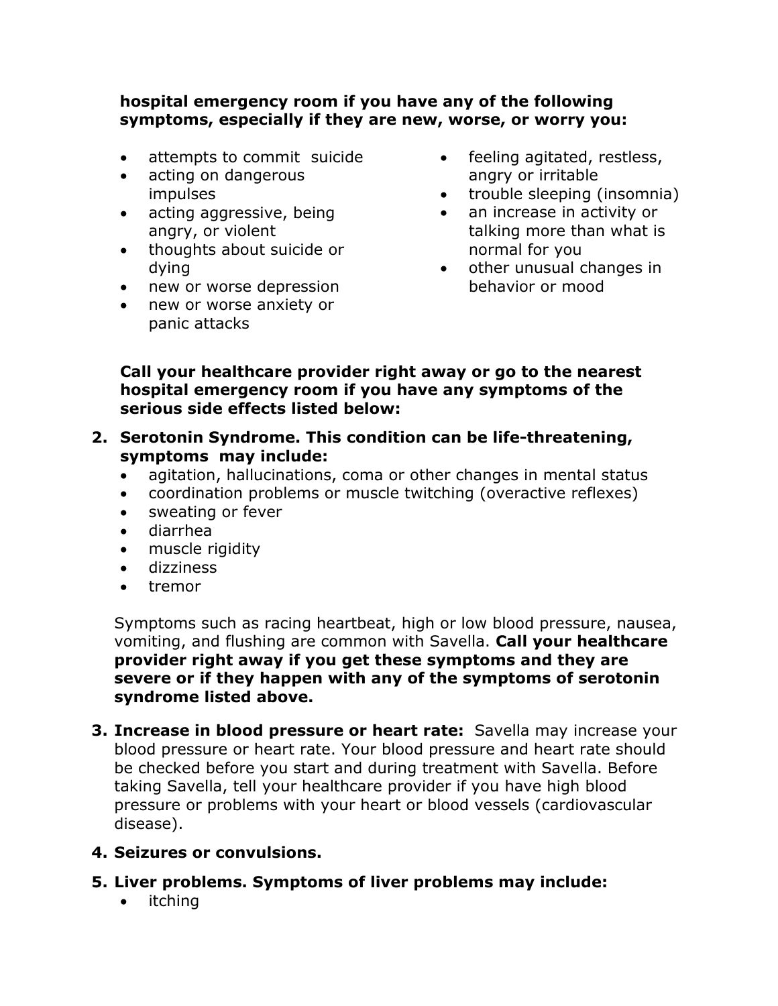# **hospital emergency room if you have any of the following symptoms, especially if they are new, worse, or worry you:**

- attempts to commit suicide
- acting on dangerous impulses
- acting aggressive, being angry, or violent
- thoughts about suicide or dying
- new or worse depression
- new or worse anxiety or panic attacks
- feeling agitated, restless, angry or irritable
- trouble sleeping (insomnia)
- an increase in activity or talking more than what is normal for you
- other unusual changes in behavior or mood

# **Call your healthcare provider right away or go to the nearest hospital emergency room if you have any symptoms of the serious side effects listed below:**

- **2. Serotonin Syndrome. This condition can be life-threatening, symptoms may include:**
	- agitation, hallucinations, coma or other changes in mental status
	- coordination problems or muscle twitching (overactive reflexes)
	- sweating or fever
	- diarrhea
	- muscle rigidity
	- dizziness
	- tremor

Symptoms such as racing heartbeat, high or low blood pressure, nausea, vomiting, and flushing are common with Savella. **Call your healthcare provider right away if you get these symptoms and they are severe or if they happen with any of the symptoms of serotonin syndrome listed above.**

**3. Increase in blood pressure or heart rate:** Savella may increase your blood pressure or heart rate. Your blood pressure and heart rate should be checked before you start and during treatment with Savella. Before taking Savella, tell your healthcare provider if you have high blood pressure or problems with your heart or blood vessels (cardiovascular disease).

# **4. Seizures or convulsions.**

- **5. Liver problems. Symptoms of liver problems may include:**
	- itching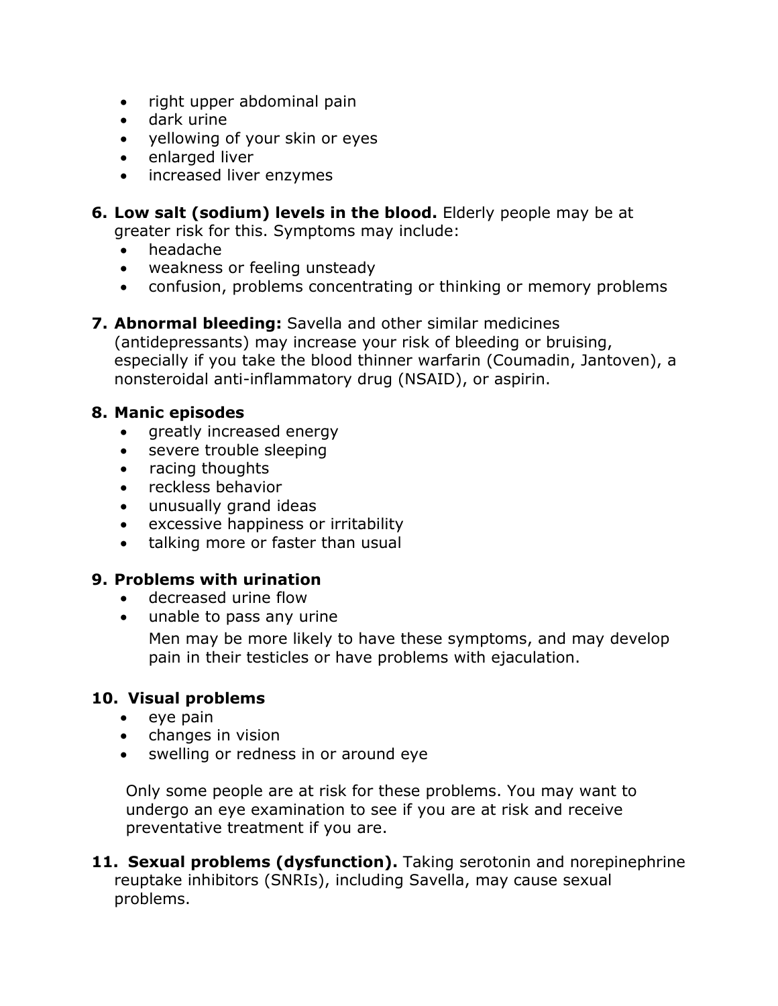- right upper abdominal pain
- dark urine
- yellowing of your skin or eyes
- enlarged liver
- increased liver enzymes
- **6. Low salt (sodium) levels in the blood.** Elderly people may be at greater risk for this. Symptoms may include:
	- headache
	- weakness or feeling unsteady
	- confusion, problems concentrating or thinking or memory problems
- **7. Abnormal bleeding:** Savella and other similar medicines

(antidepressants) may increase your risk of bleeding or bruising, especially if you take the blood thinner warfarin (Coumadin, Jantoven), a nonsteroidal anti-inflammatory drug (NSAID), or aspirin.

# **8. Manic episodes**

- greatly increased energy
- severe trouble sleeping
- racing thoughts
- reckless behavior
- unusually grand ideas
- excessive happiness or irritability
- talking more or faster than usual

# **9. Problems with urination**

- decreased urine flow
- unable to pass any urine

Men may be more likely to have these symptoms, and may develop pain in their testicles or have problems with ejaculation.

# **10. Visual problems**

- eye pain
- changes in vision
- swelling or redness in or around eye

Only some people are at risk for these problems. You may want to undergo an eye examination to see if you are at risk and receive preventative treatment if you are.

**11. Sexual problems (dysfunction).** Taking serotonin and norepinephrine reuptake inhibitors (SNRIs), including Savella, may cause sexual problems.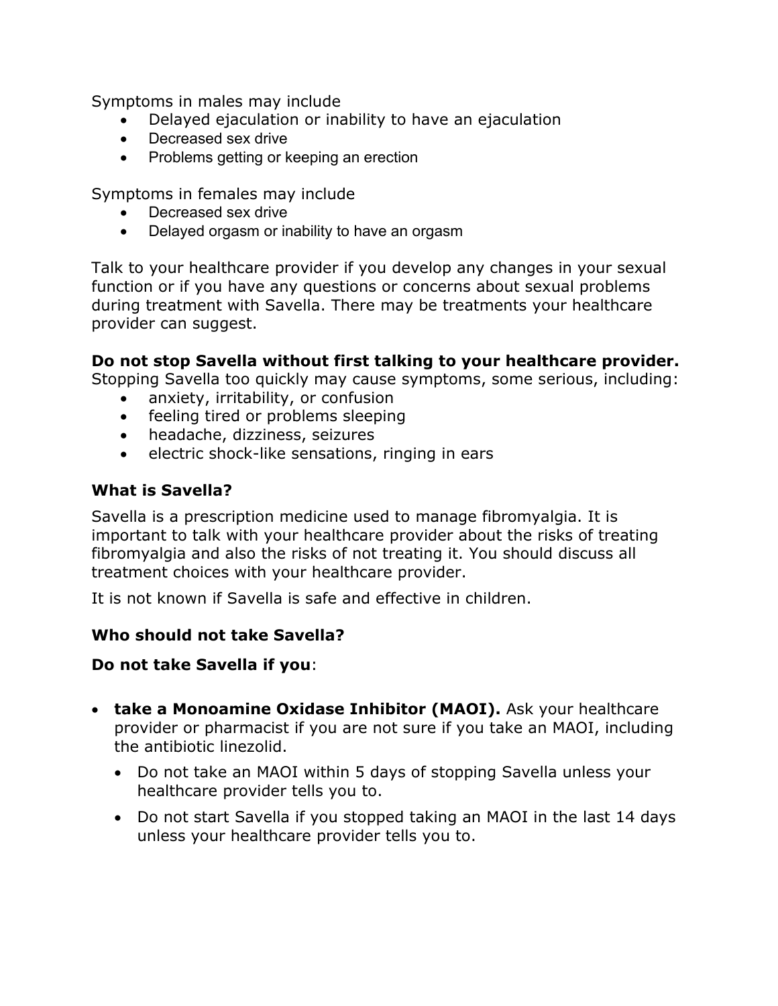Symptoms in males may include

- Delayed ejaculation or inability to have an ejaculation
- Decreased sex drive
- Problems getting or keeping an erection

Symptoms in females may include

- Decreased sex drive
- Delayed orgasm or inability to have an orgasm

Talk to your healthcare provider if you develop any changes in your sexual function or if you have any questions or concerns about sexual problems during treatment with Savella. There may be treatments your healthcare provider can suggest.

## **Do not stop Savella without first talking to your healthcare provider.**

Stopping Savella too quickly may cause symptoms, some serious, including:

- anxiety, irritability, or confusion
- feeling tired or problems sleeping
- headache, dizziness, seizures
- electric shock-like sensations, ringing in ears

## **What is Savella?**

Savella is a prescription medicine used to manage fibromyalgia. It is important to talk with your healthcare provider about the risks of treating fibromyalgia and also the risks of not treating it. You should discuss all treatment choices with your healthcare provider.

It is not known if Savella is safe and effective in children.

## **Who should not take Savella?**

## **Do not take Savella if you**:

- **take a Monoamine Oxidase Inhibitor (MAOI).** Ask your healthcare provider or pharmacist if you are not sure if you take an MAOI, including the antibiotic linezolid.
	- Do not take an MAOI within 5 days of stopping Savella unless your healthcare provider tells you to.
	- Do not start Savella if you stopped taking an MAOI in the last 14 days unless your healthcare provider tells you to.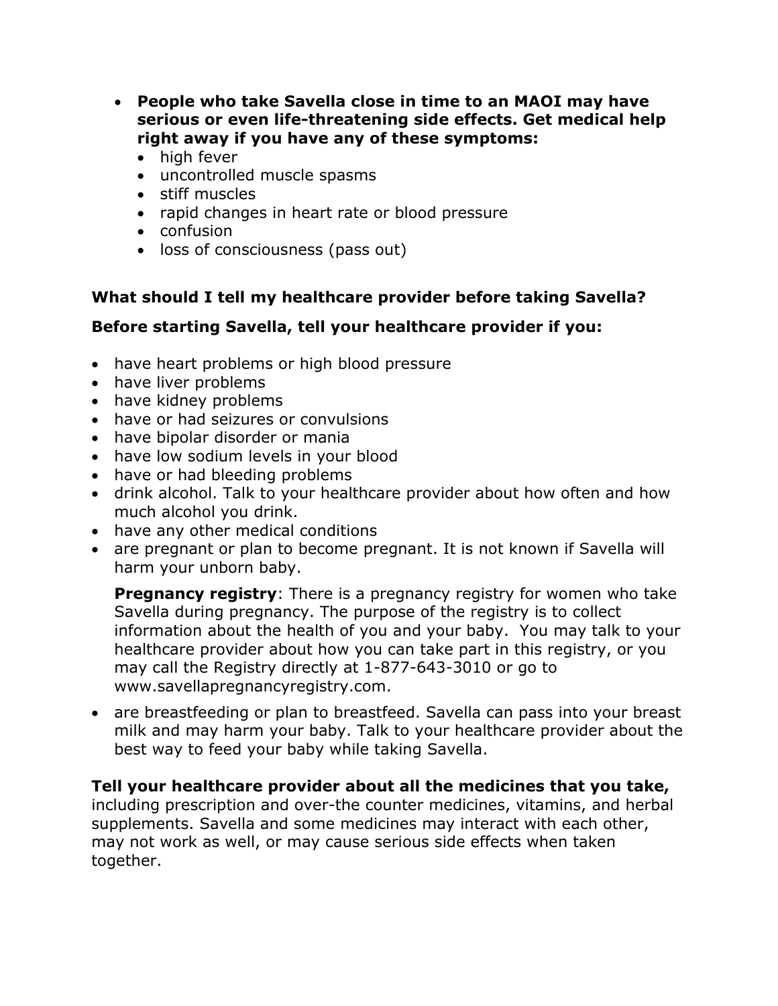- **People who take Savella close in time to an MAOI may have serious or even life-threatening side effects. Get medical help right away if you have any of these symptoms:**
	- high fever
	- uncontrolled muscle spasms
	- stiff muscles
	- rapid changes in heart rate or blood pressure
	- confusion
	- loss of consciousness (pass out)

# **What should I tell my healthcare provider before taking Savella?**

# **Before starting Savella, tell your healthcare provider if you:**

- have heart problems or high blood pressure
- have liver problems
- have kidney problems
- have or had seizures or convulsions
- have bipolar disorder or mania
- have low sodium levels in your blood
- have or had bleeding problems
- drink alcohol. Talk to your healthcare provider about how often and how much alcohol you drink.
- have any other medical conditions
- are pregnant or plan to become pregnant. It is not known if Savella will harm your unborn baby.

**Pregnancy registry:** There is a pregnancy registry for women who take Savella during pregnancy. The purpose of the registry is to collect information about the health of you and your baby. You may talk to your healthcare provider about how you can take part in this registry, or you may call the Registry directly at 1-877-643-3010 or go to www.savellapregnancyregistry.com.

• are breastfeeding or plan to breastfeed. Savella can pass into your breast milk and may harm your baby. Talk to your healthcare provider about the best way to feed your baby while taking Savella.

# **Tell your healthcare provider about all the medicines that you take,**

including prescription and over-the counter medicines, vitamins, and herbal supplements. Savella and some medicines may interact with each other, may not work as well, or may cause serious side effects when taken together.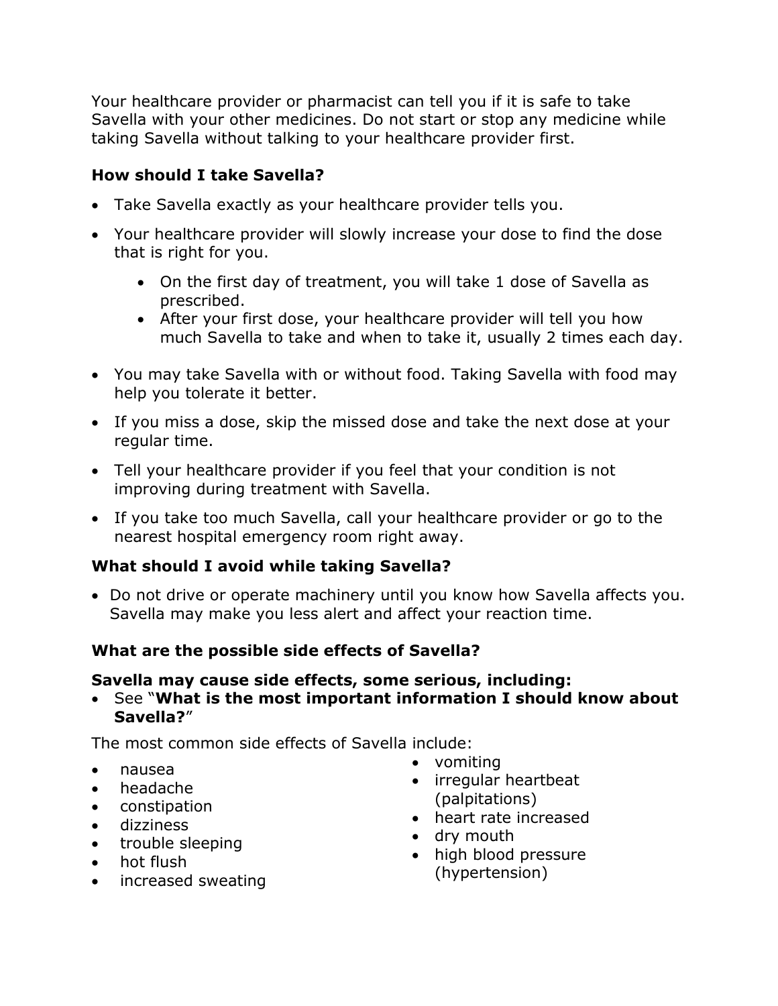Your healthcare provider or pharmacist can tell you if it is safe to take Savella with your other medicines. Do not start or stop any medicine while taking Savella without talking to your healthcare provider first.

# **How should I take Savella?**

- Take Savella exactly as your healthcare provider tells you.
- Your healthcare provider will slowly increase your dose to find the dose that is right for you.
	- On the first day of treatment, you will take 1 dose of Savella as prescribed.
	- After your first dose, your healthcare provider will tell you how much Savella to take and when to take it, usually 2 times each day.
- You may take Savella with or without food. Taking Savella with food may help you tolerate it better.
- If you miss a dose, skip the missed dose and take the next dose at your regular time.
- Tell your healthcare provider if you feel that your condition is not improving during treatment with Savella.
- If you take too much Savella, call your healthcare provider or go to the nearest hospital emergency room right away.

# **What should I avoid while taking Savella?**

• Do not drive or operate machinery until you know how Savella affects you. Savella may make you less alert and affect your reaction time.

# **What are the possible side effects of Savella?**

# **Savella may cause side effects, some serious, including:**

• See "**What is the most important information I should know about Savella?**"

The most common side effects of Savella include:

- nausea
- headache
- constipation
- dizziness
- trouble sleeping
- hot flush
- increased sweating
- vomiting
- irregular heartbeat (palpitations)
- heart rate increased
- dry mouth
- high blood pressure (hypertension)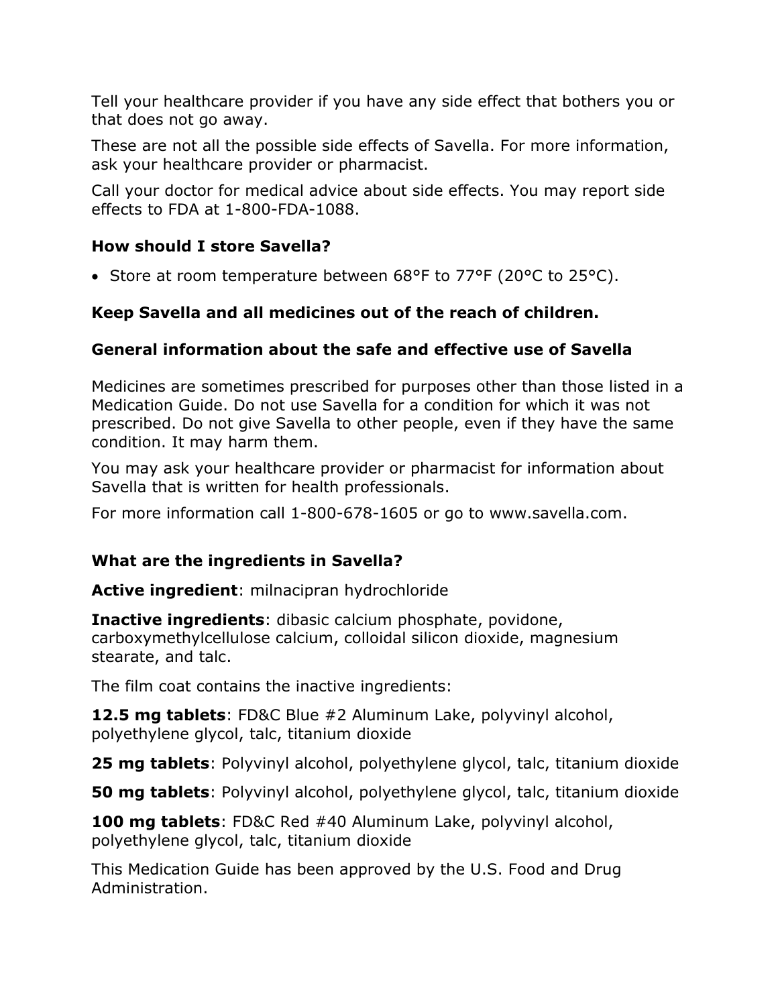Tell your healthcare provider if you have any side effect that bothers you or that does not go away.

These are not all the possible side effects of Savella. For more information, ask your healthcare provider or pharmacist.

Call your doctor for medical advice about side effects. You may report side effects to FDA at 1-800-FDA-1088.

# **How should I store Savella?**

• Store at room temperature between 68°F to 77°F (20°C to 25°C).

# **Keep Savella and all medicines out of the reach of children.**

# **General information about the safe and effective use of Savella**

Medicines are sometimes prescribed for purposes other than those listed in a Medication Guide. Do not use Savella for a condition for which it was not prescribed. Do not give Savella to other people, even if they have the same condition. It may harm them.

You may ask your healthcare provider or pharmacist for information about Savella that is written for health professionals.

For more information call 1-800-678-1605 or go to www.savella.com.

# **What are the ingredients in Savella?**

**Active ingredient**: milnacipran hydrochloride

**Inactive ingredients**: dibasic calcium phosphate, povidone, carboxymethylcellulose calcium, colloidal silicon dioxide, magnesium stearate, and talc.

The film coat contains the inactive ingredients:

**12.5 mg tablets**: FD&C Blue #2 Aluminum Lake, polyvinyl alcohol, polyethylene glycol, talc, titanium dioxide

**25 mg tablets**: Polyvinyl alcohol, polyethylene glycol, talc, titanium dioxide

**50 mg tablets**: Polyvinyl alcohol, polyethylene glycol, talc, titanium dioxide

**100 mg tablets**: FD&C Red #40 Aluminum Lake, polyvinyl alcohol, polyethylene glycol, talc, titanium dioxide

This Medication Guide has been approved by the U.S. Food and Drug Administration.